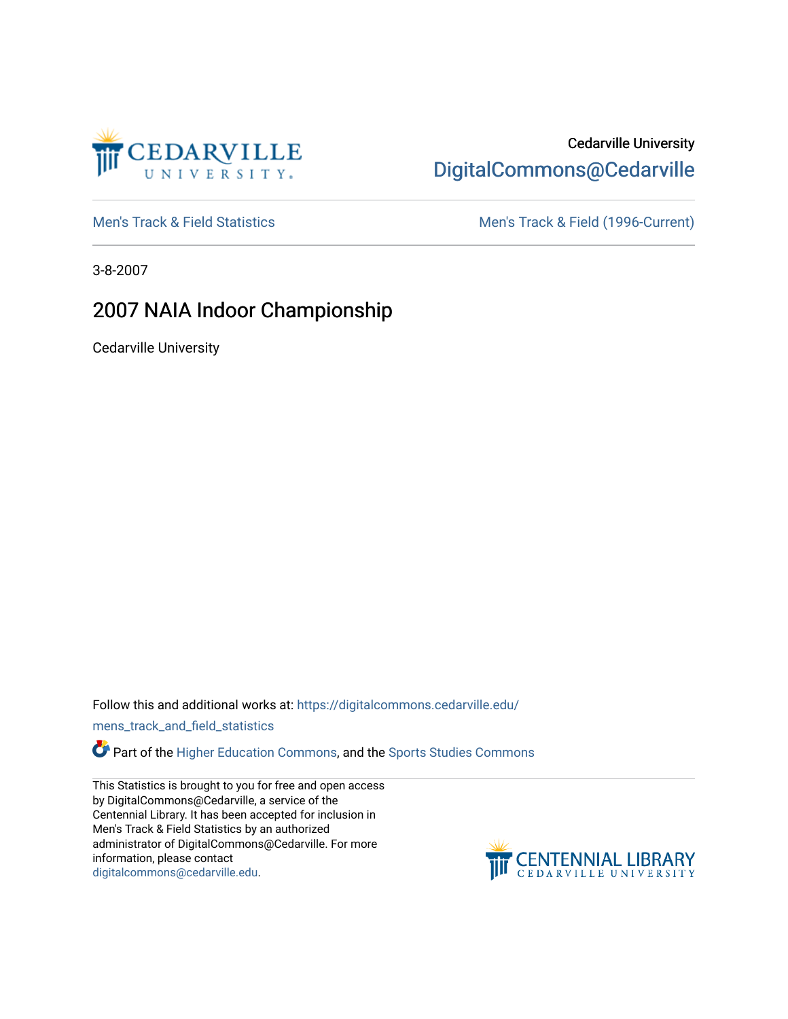

## Cedarville University [DigitalCommons@Cedarville](https://digitalcommons.cedarville.edu/)

[Men's Track & Field Statistics](https://digitalcommons.cedarville.edu/mens_track_and_field_statistics) [Men's Track & Field \(1996-Current\)](https://digitalcommons.cedarville.edu/mens_track_and_field) 

3-8-2007

## 2007 NAIA Indoor Championship

Cedarville University

Follow this and additional works at: [https://digitalcommons.cedarville.edu/](https://digitalcommons.cedarville.edu/mens_track_and_field_statistics?utm_source=digitalcommons.cedarville.edu%2Fmens_track_and_field_statistics%2F172&utm_medium=PDF&utm_campaign=PDFCoverPages)

[mens\\_track\\_and\\_field\\_statistics](https://digitalcommons.cedarville.edu/mens_track_and_field_statistics?utm_source=digitalcommons.cedarville.edu%2Fmens_track_and_field_statistics%2F172&utm_medium=PDF&utm_campaign=PDFCoverPages)

Part of the [Higher Education Commons,](http://network.bepress.com/hgg/discipline/1245?utm_source=digitalcommons.cedarville.edu%2Fmens_track_and_field_statistics%2F172&utm_medium=PDF&utm_campaign=PDFCoverPages) and the Sports Studies Commons

This Statistics is brought to you for free and open access by DigitalCommons@Cedarville, a service of the Centennial Library. It has been accepted for inclusion in Men's Track & Field Statistics by an authorized administrator of DigitalCommons@Cedarville. For more information, please contact [digitalcommons@cedarville.edu](mailto:digitalcommons@cedarville.edu).

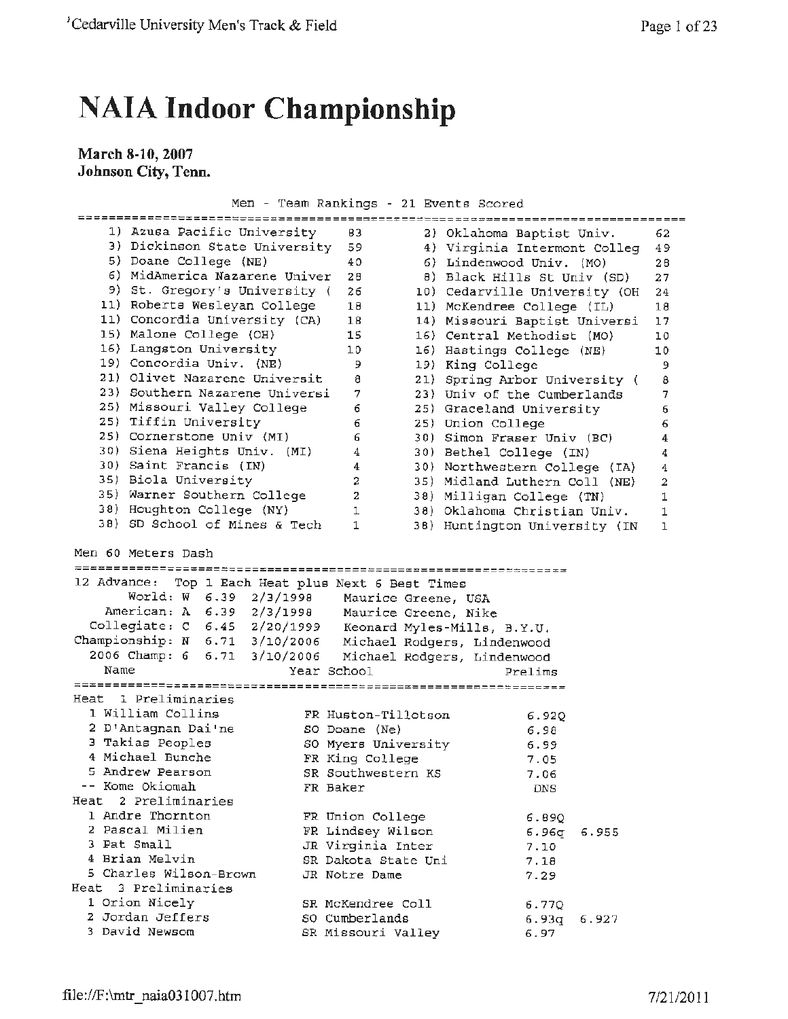## **NAIA Indoor Championship**

**March 8-10, 2007 Johnson City, Tenn.** 

Men - Team Rankings - 21 Events scored

|                                                            |                     | ============================== |                         |
|------------------------------------------------------------|---------------------|--------------------------------|-------------------------|
| 1) Azusa Pacific University                                | 83                  | 2) Oklahoma Baptist Univ.      | 62                      |
| 3) Dickinson State University                              | 59                  | 4) Virginia Intermont Colleg   | 49                      |
| 5) Doane College (NE)                                      | 40                  | 6) Lindenwood Univ. (MO)       | 28                      |
| 6) MidAmerica Nazarene Univer                              | 28                  | 8) Black Hills St Univ (SD)    | 27                      |
| 9) St. Gregory's University (                              | 26                  | 10) Cedarville University (OH  | 24                      |
| 11) Roberts Wesleyan College                               | 18                  | 11) McKendree College (IL)     | 18                      |
| 11) Concordia University (CA)                              | 18                  | 14) Missouri Baptist Universi  | 17                      |
| 15) Malone College (OH)                                    | 15                  | 16) Central Methodist (MO)     | 10                      |
| 16) Langston University                                    | 10                  | 16) Hastings College (NE)      | 10                      |
| 19) Concordia Univ. (NE)                                   | 9                   | 19) King College               | 9                       |
| 21) Olivet Nazarene Universit                              | 8                   | 21) Spring Arbor University (  | 8                       |
| 23) Southern Nazarene Universi                             | 7                   | 23) Univ of the Cumberlands    | 7                       |
| 25) Missouri Valley College                                | 6                   | 25) Graceland University       | 6                       |
| 25) Tiffin University                                      | 6                   | 25) Union College              | 6                       |
| 25) Cornerstone Univ (MI)                                  | 6                   | 30) Simon Fraser Univ (BC)     | 4                       |
| 30) Siena Heights Univ. (MI)                               | 4                   | 30) Bethel College (IN)        | 4                       |
| 30) Saint Francis (IN)                                     | 4                   | 30) Northwestern College (IA)  | 4                       |
| 35) Biola University                                       | 2                   | 35) Midland Luthern Coll (NE)  | $\overline{\mathbf{2}}$ |
| 35) Warner Southern College                                | 2                   | 38) Milligan College (TN)      | 1                       |
| 38) Houghton College (NY)<br>38) SD School of Mines & Tech | 1                   | 38) Oklahoma Christian Univ.   | 1                       |
|                                                            | $\mathbf{1}$        | 38) Huntington University (IN  | ı                       |
| Men 60 Meters Dash                                         |                     |                                |                         |
|                                                            |                     |                                |                         |
| 12 Advance:<br>Top 1 Each Heat plus Next 6 Best Times      |                     |                                |                         |
| World: W 6.39 2/3/1998                                     | Maurice Greene, USA |                                |                         |
| American: A 6.39 2/3/1998 Maurice Greene, Nike             |                     |                                |                         |
| Collegiate: C 6.45 2/20/1999 Keonard Myles-Mills, B.Y.U.   |                     |                                |                         |
| Championship: N 6.71 3/10/2006 Michael Rodgers, Lindenwood |                     |                                |                         |
| 2006 Champ: 6 6.71 3/10/2006                               |                     | Michael Rodgers, Lindenwood    |                         |
| Name                                                       | Year School         | Prelims                        |                         |
| Heat 1 Preliminaries                                       |                     |                                |                         |
| 1 William Collins                                          |                     |                                |                         |
| 2 D'Antagnan Dai'ne                                        | FR Huston-Tillotson | 6.920                          |                         |
| 3 Takias Peoples                                           | SO Doane (Ne)       | 6.98                           |                         |
| 4 Michael Bunche                                           | SO Myers University | 6.99                           |                         |
| 5 Andrew Pearson                                           | FR King College     | 7.05                           |                         |
| -- Kome Okiomah                                            | SR Southwestern KS  | 7.06                           |                         |
| Heat 2 Preliminaries                                       | FR Baker            | DNS                            |                         |
| 1 Andre Thornton                                           |                     |                                |                         |
| 2 Pascal Milien                                            | FR Union College    | 6.89Q                          |                         |
| 3 Pat Small                                                | FR Lindsey Wilson   | 6.96g<br>6.955                 |                         |
| 4 Brian Melvin                                             | JR Virginia Inter   | 7.10                           |                         |
| 5 Charles Wilson-Brown                                     | SR Dakota State Uni | 7.18                           |                         |
| Heat<br>3 Preliminaries                                    | JR Notre Dame       | 7.29                           |                         |
| 1 Orion Nicely                                             |                     |                                |                         |
| 2 Jordan Jeffers                                           | SR McKendree Coll   | 6.770                          |                         |
| 3 David Newsom                                             | SO Cumberlands      | 6.93q<br>6.927                 |                         |
|                                                            | SR Missouri Valley  | 6.97                           |                         |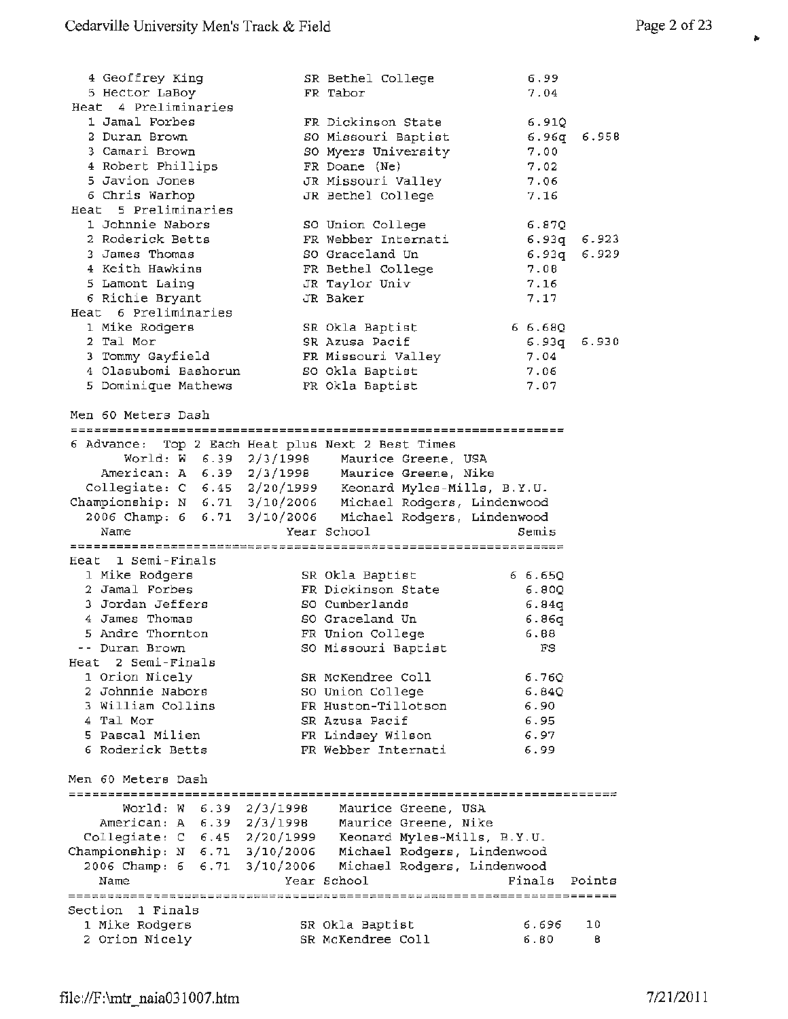| 4 Geoffrey King                                                                                                                                                                    | SR Bethel College                              | 6.99        |       |
|------------------------------------------------------------------------------------------------------------------------------------------------------------------------------------|------------------------------------------------|-------------|-------|
| 5 Hector LaBoy                                                                                                                                                                     | FR Tabor                                       | 7.04        |       |
| Heat 4 Preliminaries                                                                                                                                                               |                                                |             |       |
| 1 Jamal Forbes                                                                                                                                                                     | FR Dickinson State                             | 6.91Q       |       |
| 2 Duran Brown                                                                                                                                                                      | SO Missouri Baptist                            | 6.96q       | 6.958 |
| 3 Camari Brown                                                                                                                                                                     | SO Myers University                            | 7.00        |       |
| 4 Robert Phillips                                                                                                                                                                  | FR Doane (Ne)                                  | 7.02        |       |
| 5 Javion Jones                                                                                                                                                                     | JR Missouri Valley                             | 7.06        |       |
| 6 Chris Warhop                                                                                                                                                                     | JR Bethel College                              | 7.16        |       |
| Heat 5 Preliminaries                                                                                                                                                               |                                                |             |       |
| 1 Johnnie Nabors                                                                                                                                                                   | SO Union College                               | 6.870       |       |
| 2 Roderick Betts                                                                                                                                                                   | FR Webber Internati                            | 6.93q 6.923 |       |
| 3 James Thomas                                                                                                                                                                     | SO Graceland Un                                | 6.93q       | 6.929 |
| 4 Keith Hawkins                                                                                                                                                                    | FR Bethel College                              | 7.08        |       |
| 5 Lamont Laing                                                                                                                                                                     | JR Taylor Univ                                 | 7.16        |       |
| 6 Richie Bryant                                                                                                                                                                    | JR Baker                                       | 7.17        |       |
| Heat 6 Preliminaries                                                                                                                                                               |                                                |             |       |
| 1 Mike Rodqers                                                                                                                                                                     | SR Okla Baptist                                | 66.680      |       |
| 2 Tal Mor                                                                                                                                                                          | SR Azusa Pacif                                 | 6.93q       | 6.930 |
| 3 Tommy Gayfield                                                                                                                                                                   | FR Missouri Valley                             | 7.04        |       |
| 4 Olasubomi Bashorun                                                                                                                                                               | SO Okla Baptist                                | 7.06        |       |
| 5 Dominique Mathews                                                                                                                                                                | FR Okla Baptist                                | 7.07        |       |
|                                                                                                                                                                                    |                                                |             |       |
| Men 60 Meters Dash                                                                                                                                                                 |                                                |             |       |
|                                                                                                                                                                                    |                                                |             |       |
| 6 Advance: Top 2 Each Heat plus Next 2 Best Times                                                                                                                                  |                                                |             |       |
|                                                                                                                                                                                    | World: W 6.39 2/3/1998 Maurice Greene, USA     |             |       |
|                                                                                                                                                                                    | American: A 6.39 2/3/1998 Maurice Greene, Nike |             |       |
|                                                                                                                                                                                    |                                                |             |       |
| Collegiate: C 6.45 2/20/1999 Keonard Myles-Mills, B.Y.U.<br>Championship: N 6.71 3/10/2006 Michael Rodgers, Lindenwood<br>2006 Champ: 6 6.71 3/10/2006 Michael Rodgers, Lindenwood |                                                |             |       |
|                                                                                                                                                                                    |                                                |             |       |
| Name                                                                                                                                                                               | Year School                                    | Semis       |       |
|                                                                                                                                                                                    |                                                |             |       |
| Heat 1 Semi-Finals                                                                                                                                                                 |                                                |             |       |
| 1 Mike Rodgers                                                                                                                                                                     | SR Okla Baptist                                | 66.650      |       |
| 2 Jamal Forbes                                                                                                                                                                     | FR Dickinson State                             | 6.80Q       |       |
| 3 Jordan Jeffers                                                                                                                                                                   | SO Cumberlands                                 | 6.84q       |       |
| 4 James Thomas                                                                                                                                                                     | SO Graceland Un                                | 6.86q       |       |
| 5 Andre Thornton                                                                                                                                                                   | FR Union College                               | 6.88        |       |
| -- Duran Brown                                                                                                                                                                     | SO Missouri Baptist                            | FS          |       |
| Heat 2 Semi-Finals                                                                                                                                                                 |                                                |             |       |
| 1 Orion Nicely                                                                                                                                                                     | SR McKendree Coll                              | 6.76Q       |       |
| 2 Johnnie Nabors                                                                                                                                                                   | SO Union College                               | 6.84Q       |       |
|                                                                                                                                                                                    |                                                |             |       |

FR Huston-Tillotson 6.90 SR Azusa Pacif 6.95 FR Lindsey Wilson 6.97 FR Webber Internati 6.99

Championship: **N**  6.71 3/10/2006 Michael Rodgers, Lindenwood 2006 Champ: 6 6. 71 3/10/2006 Michael Rodgers, Lindenwood

Year School

2/3/199B Maurice Greene, USA 2/3/1998 Maurice Greene, Nike

> SR Okla Baptist SR McKendree Coll

2/20/1999 Keonard **Myles-Mills,** B.Y.U.

3 William Collins

5 Pascal Milien 6 Roderick Betts

Men 60 Meters Dash

Section 1 Finals 1 Mike Rodgers 2 Orion Nicely

World: w American: **A**  Collegiate: C

6.39 6.39 6.45

<sup>4</sup>Tal Mor

Name

Finals Points

10 8

6.696 6.80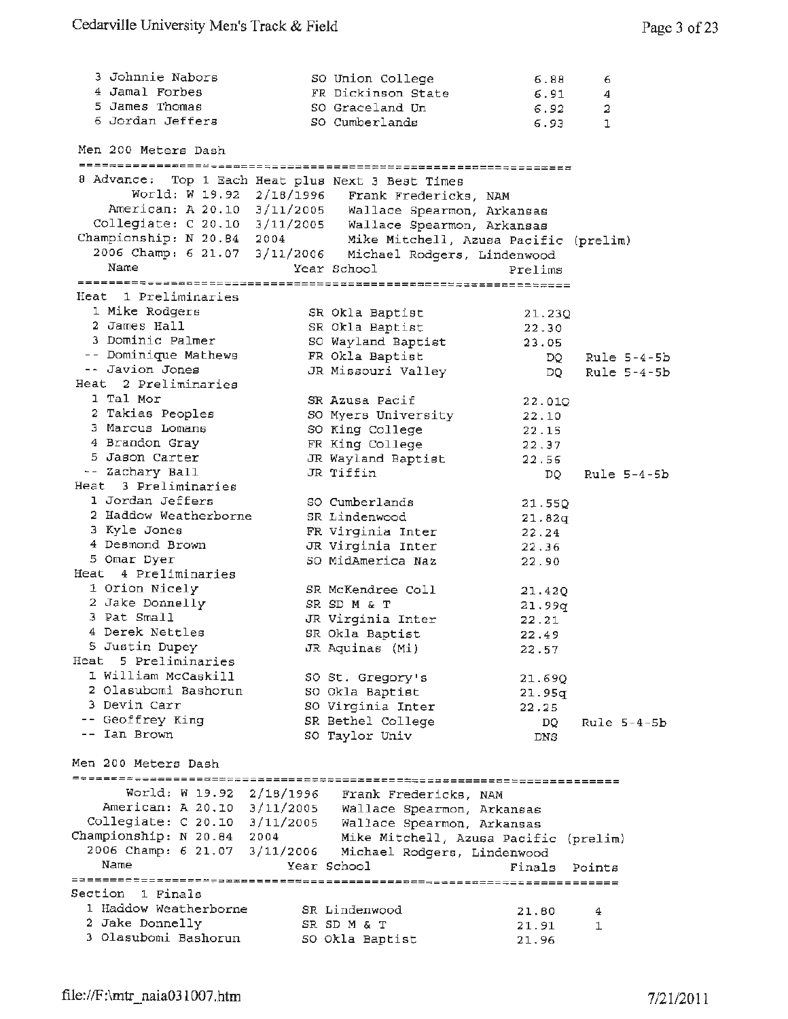| 3 Johnnie Nabors                                          | SO Union College                      | 6.88            | 6             |
|-----------------------------------------------------------|---------------------------------------|-----------------|---------------|
| 4 Jamal Forbes                                            | FR Dickinson State                    | 6.91            | 4             |
| 5 James Thomas                                            | SO Graceland Un                       | 6.92            | 2             |
| 6 Jordan Jeffers                                          | SO Cumberlands                        | 6.93            | 1             |
| Men 200 Meters Dash                                       |                                       |                 |               |
| 8 Advance: Top 1 Each Heat plus Next 3 Best Times         |                                       |                 |               |
| World: W 19.92 2/18/1996 Frank Fredericks, NAM            |                                       |                 |               |
| American: A 20.10 3/11/2005 Wallace Spearmon, Arkansas    |                                       |                 |               |
| Collegiate: C 20.10 3/11/2005 Wallace Spearmon, Arkansas  |                                       |                 |               |
| Championship: N 20.84 2004                                | Mike Mitchell, Azusa Pacific (prelim) |                 |               |
| 2006 Champ: 6 21.07 3/11/2006 Michael Rodgers, Lindenwood |                                       |                 |               |
| Name                                                      | Year School                           | Prelims         |               |
|                                                           |                                       |                 |               |
| Heat 1 Preliminaries                                      |                                       |                 |               |
| 1 Mike Rodgers                                            | SR Okla Baptist                       | 21.23Q          |               |
| 2 James Hall<br>3 Dominic Palmer                          | SR Okla Baptist                       | 22.30           |               |
| -- Dominique Mathews                                      | SO Wayland Baptist                    | 23.05           |               |
| -- Javion Jones                                           | FR Okla Baptist                       | DO –            | $Rule 5-4-5b$ |
| Heat 2 Preliminaries                                      | JR Missouri Valley                    | DQ —            | Rule $5-4-5b$ |
| 1 Tal Mor                                                 | SR Azusa Pacif                        |                 |               |
| 2 Takias Peoples                                          | SO Myers University                   | 22.01Q<br>22.10 |               |
| 3 Marcus Lomans                                           | SO King College                       | 22.15           |               |
| 4 Brandon Gray                                            | FR King College                       | 22.37           |               |
| 5 Jason Carter                                            | JR Wayland Baptist                    | 22.56           |               |
| -- Zachary Ball                                           | JR Tiffin                             | DQ.             | Rule $5-4-5b$ |
| Heat 3 Preliminaries                                      |                                       |                 |               |
| 1 Jordan Jeffers                                          | SO Cumberlands                        | 21.55Q          |               |
| 2 Haddow Weatherborne                                     | SR Lindenwood                         | 21.82q          |               |
| 3 Kyle Jones                                              | FR Virginia Inter                     | 22.24           |               |
| 4 Desmond Brown                                           | JR Virginia Inter                     | 22.36           |               |
| 5 Omar Dyer                                               | SO MidAmerica Naz                     | 22.90           |               |
| Heat 4 Preliminaries                                      |                                       |                 |               |
| 1 Orion Nicely                                            | SR McKendree Coll                     | 21.42Q          |               |
| 2 Jake Donnelly                                           | SR SD M & T                           | 21.99q          |               |
| 3 Pat Small                                               | JR Virginia Inter                     | 22.21           |               |
| 4 Derek Nettles                                           | SR Okla Baptist                       | 22.49           |               |
| 5 Justin Dupey                                            | JR Aquinas (Mi)                       | 22.57           |               |
| Heat 5 Preliminaries                                      |                                       |                 |               |
| 1 William McCaskill                                       | SO St. Gregory's                      | 21.69Q          |               |
| 2 Olasubomi Bashorun                                      | SO Okla Baptist                       | 21.95q          |               |
| 3 Devin Carr                                              | SO Virginia Inter                     | 22.25           |               |
| -- Geoffrey King<br>-- Ian Brown                          | SR Bethel College                     | DQ.             | Rule $5-4-5b$ |
|                                                           | SO Taylor Univ                        | <b>DNS</b>      |               |
| Men 200 Meters Dash                                       |                                       |                 |               |
| World: W 19.92 2/18/1996 Frank Fredericks, NAM            |                                       |                 |               |
| American: A 20.10 3/11/2005 Wallace Spearmon, Arkansas    |                                       |                 |               |
| Collegiate: C 20.10 3/11/2005 Wallace Spearmon, Arkansas  |                                       |                 |               |
| Championship: N 20.84 2004                                | Mike Mitchell, Azusa Pacific (prelim) |                 |               |
| 2006 Champ: 6 21.07 3/11/2006                             | Michael Rodgers, Lindenwood           |                 |               |
| Name                                                      | Year School                           | Finals          | Points        |
|                                                           |                                       |                 |               |
| Section 1 Finals                                          |                                       |                 |               |
| 1 Haddow Weatherborne                                     | SR Lindenwood                         | 21.80           | 4             |
| 2 Jake Donnelly                                           | SR SD M & T                           | 21.91           | 1             |
| 3 Olasubomi Bashorun                                      | SO Okla Baptist                       | 21.96           |               |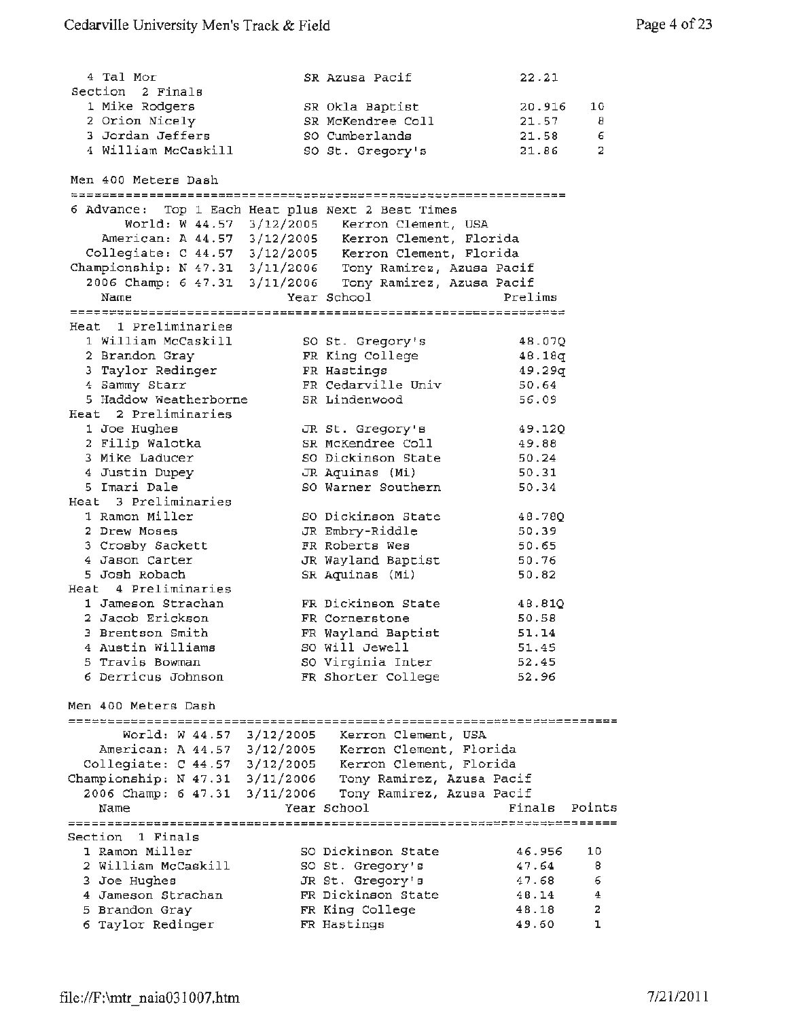| 4 Tal Mor                                                                                                                                                                     |           | SR Azusa Pacif                               | 22.21          |        |
|-------------------------------------------------------------------------------------------------------------------------------------------------------------------------------|-----------|----------------------------------------------|----------------|--------|
| Section 2 Finals                                                                                                                                                              |           |                                              |                |        |
| 1 Mike Rodgers                                                                                                                                                                |           | SR Okla Baptist                              | 20.916         | 10     |
| 2 Orion Nicely                                                                                                                                                                |           | SR McKendree Coll                            | 21.57          | 8      |
| 3 Jordan Jeffers                                                                                                                                                              |           | SO Cumberlands                               | 21.58          | 6      |
| 4 William McCaskill                                                                                                                                                           |           | SO St. Gregory's                             | 21.86          | 2      |
| Men 400 Meters Dash                                                                                                                                                           |           |                                              |                |        |
|                                                                                                                                                                               |           |                                              |                |        |
| 6 Advance: Top 1 Each Heat plus Next 2 Best Times                                                                                                                             |           |                                              |                |        |
|                                                                                                                                                                               |           | World: W 44.57 3/12/2005 Kerron Clement, USA |                |        |
| American: A 44.57 3/12/2005 Kerron Clement, Florida                                                                                                                           |           |                                              |                |        |
|                                                                                                                                                                               |           |                                              |                |        |
| Collegiate: C 44.57 3/12/2005 Kerron Clement, Florida<br>Championship: N 47.31 3/11/2006 Tony Ramirez, Azusa Pacif<br>2006 Champ: 6 47.31 3/11/2006 Tony Ramirez, Azusa Pacif |           |                                              |                |        |
|                                                                                                                                                                               |           |                                              |                |        |
| Name                                                                                                                                                                          |           | Year School                                  | Prelims        |        |
| Heat 1 Preliminaries                                                                                                                                                          |           |                                              |                |        |
| 1 William McCaskill                                                                                                                                                           |           | SO St. Gregory's                             | 48.07Q         |        |
| 2 Brandon Gray                                                                                                                                                                |           | FR King College                              | 48.18q         |        |
| 3 Taylor Redinger                                                                                                                                                             |           | FR Hastings                                  | 49.29q         |        |
| 4 Sammy Starr                                                                                                                                                                 |           | FR Cedarville Univ                           | 50.64          |        |
| 5 Haddow Weatherborne                                                                                                                                                         |           | SR Lindenwood                                | 56.09          |        |
| Heat 2 Preliminaries                                                                                                                                                          |           |                                              |                |        |
| 1 Joe Hughes                                                                                                                                                                  |           | JR St. Gregory's                             | 49.120         |        |
| 2 Filip Walotka                                                                                                                                                               |           | SR McKendree Coll                            | 49.88          |        |
| 3 Mike Laducer                                                                                                                                                                |           | SO Dickinson State                           | 50.24          |        |
| 4 Justin Dupey                                                                                                                                                                |           | JR Aquinas (Mi)                              | 50.31          |        |
| 5 Imari Dale                                                                                                                                                                  |           | SO Warner Southern                           | 50.34          |        |
| Heat 3 Preliminaries                                                                                                                                                          |           |                                              |                |        |
| 1 Ramon Miller                                                                                                                                                                |           | SO Dickinson State                           | 48.780         |        |
| 2 Drew Moses                                                                                                                                                                  |           | JR Embry-Riddle                              | 50.39          |        |
| 3 Crosby Sackett                                                                                                                                                              |           | FR Roberts Wes                               | 50.65          |        |
| 4 Jason Carter                                                                                                                                                                |           | JR Wayland Baptist                           | 50.76          |        |
| 5 Josh Robach                                                                                                                                                                 |           | SR Aquinas (Mi)                              | 50.82          |        |
| Heat 4 Preliminaries                                                                                                                                                          |           |                                              |                |        |
| 1 Jameson Strachan                                                                                                                                                            |           | FR Dickinson State                           | 48.81Q         |        |
| 2 Jacob Erickson                                                                                                                                                              |           | FR Cornerstone                               | 50.58          |        |
| 3 Brentson Smith                                                                                                                                                              |           | FR Wayland Baptist                           | 51.14          |        |
| 4 Austin Williams                                                                                                                                                             |           | SO Will Jewell                               | 51.45          |        |
| 5 Travis Bowman                                                                                                                                                               |           | SO Virginia Inter                            | 52.45          |        |
| 6 Derricus Johnson                                                                                                                                                            |           | FR Shorter College                           | 52.96          |        |
| Men 400 Meters Dash                                                                                                                                                           |           |                                              |                |        |
| ========================                                                                                                                                                      |           |                                              |                |        |
| World: W 44.57                                                                                                                                                                | 3/12/2005 | Kerron Clement, USA                          |                |        |
| American: A 44.57 3/12/2005                                                                                                                                                   |           | Kerron Clement, Florida                      |                |        |
| Collegiate: C 44.57                                                                                                                                                           | 3/12/2005 | Kerron Clement, Florida                      |                |        |
| Championship: N 47.31 3/11/2006                                                                                                                                               |           | Tony Ramirez, Azusa Pacif                    |                |        |
| 2006 Champ: 6 47.31                                                                                                                                                           | 3/11/2006 | Tony Ramirez, Azusa Pacif                    |                |        |
| Name                                                                                                                                                                          |           | Year School                                  | Finals         | Points |
|                                                                                                                                                                               |           |                                              |                |        |
| Section 1 Finals                                                                                                                                                              |           |                                              |                |        |
| 1 Ramon Miller                                                                                                                                                                |           | SO Dickinson State                           | 46.956         | 10     |
| 2 William McCaskill                                                                                                                                                           |           | SO St. Gregory's                             | 47.64          | 8      |
| 3 Joe Hughes<br>4 Jameson Strachan                                                                                                                                            |           | JR St. Gregory's<br>FR Dickinson State       | 47.68          | 6<br>4 |
| 5 Brandon Gray                                                                                                                                                                |           | FR King College                              | 48.14<br>48.18 | 2      |
| 6 Taylor Redinger                                                                                                                                                             |           | FR Hastings                                  | 49.60          | ı      |
|                                                                                                                                                                               |           |                                              |                |        |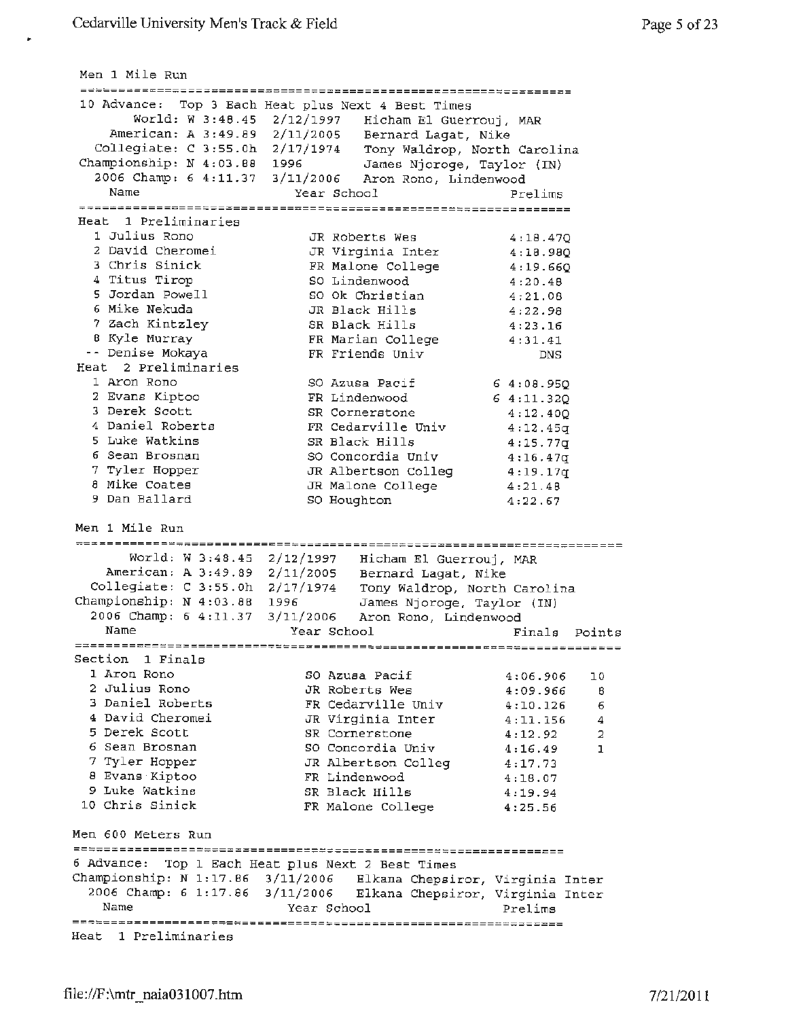Men 1 Mile Run 10 Advance: Top 3 Each Heat plus Next 4 Best Times World: W 3 :48.45 2/12/1997 Hicham El Guerrouj, MAR American: A 3:49.89 Collegiate: C 3:55.0h Championship: N 4:03.88 2006 Champ: 6 4:11.37 Name Heat 1 Preliminaries 1 Julius Rono 2 David Cheromei <sup>3</sup>Chris Sinick 4 Titus Tirop 5 Jordan Powell 6 Mike Nekuda 7 Zach Kintzley 8 Kyle Murray Denise Mokaya Heat 2 Preliminaries 1 Aron Rona 2 Evans Kiptoo 3 Derek Scott 4 Daniel Roberts 5 Luke Watkins 6 Sean Brosnan 7 Tyler Hopper 8 Mike Coates 9 Dan Ballard Men 1 Mile Run World: w 3:48.45 2/12/1997 Hicham El Guerrouj, MAR American: A 3:49.89 2/11/2005 Bernard Lagat, Nike Collegiate: C 3:55.0h 2/17/1974 Tony Waldrop, North Carolina Championship: N 4:03.88 2006 Champ: 6 4:11.37 2/11/2005 Bernard Lagat, Nike 2/17/1974 Tony Waldrop, North Carolina 1996 James Njoroge, Taylor (IN) 3/11/2006 Aron Rona, Lindenwood Year School **Prelims** JR Roberts Wes 4:18.47Q JR Virginia Inter 4:18.98Q FR Malone College 4:19.66Q so Lindenwood 4:20.48 so Ok Christian 4:21.08 JR Black Hills 4:22.98 SR Black Hills 4:23.16 FR Marian College 4:31.41 FR Friends Univ DNS so Azusa Pacif *6* 4:08.95Q FR Lindenwood 6  $4:11.32Q$ SR Cornerstone 4:12.40Q FR Cedarville Univ 4:12.45q SR Black Hills 4:15.77q so Concordia Univ  $4:16.47q$ JR Albertson Colleg 4:19.17q JR Malone College 4:21.48 so Houghton 4:22.67 1996 James Njoroge, Taylor (IN) 3/11/2006 Aron Rona, Lindenwood Name Year School Finals Points Section 1 Finals 1 Aron Rono SO Azusa Pacif 2 Julius Rone JR Roberts Wes <sup>3</sup>Daniel Roberts FR Cedarville Univ 4 David Cheromei JR Virginia Inter 5 Derek Scott SR Cornerstone 6 Sean Brosnan so Concordia Univ 7 Tyler Hopper JR Albertson Colleg <sup>8</sup>Evans·Kiptoo **FR** Lindenwood 9 Luke Watkins SR Black Hills 10 Chris Sinick **FR** Malone College Men 600 Meters Run 6 Advance: Top 1 Each Heat plus Next 2 Best Times Championship: N 1:17.86 3/11/2006 Elkana Chepsiror, Virginia Inter 2006 Champ: 6 1:17.86 3/11/2006 Elkana Chepsiror, Virginia Inter Name Year School Heat 1 Preliminaries 4:06.906 10 4:09.966 <sup>8</sup> 4:10.126 6 4:11.156 4  $4:12.92$  2 4:16.49 1 4:17.73 4:18.07 4,19.94 4:25.56 Prelims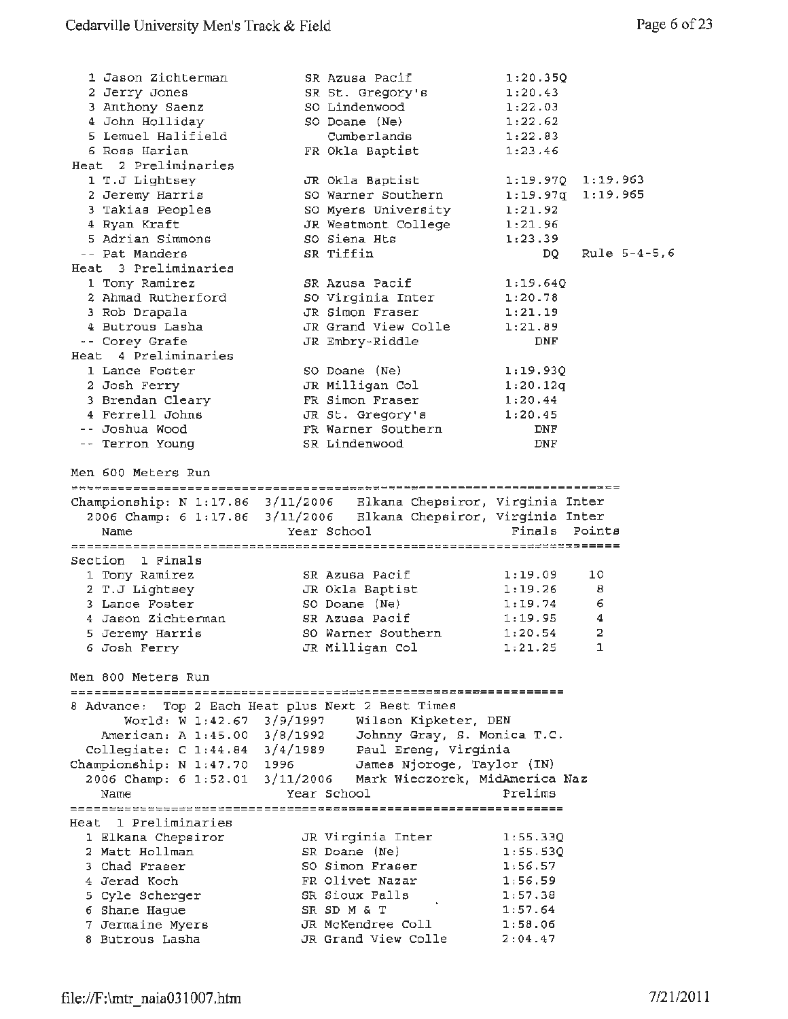| 1 Jason Zichterman                                                 | SR Azusa Pacif                                   | 1:20.35Q   |                   |
|--------------------------------------------------------------------|--------------------------------------------------|------------|-------------------|
|                                                                    |                                                  |            |                   |
| 2 Jerry Jones                                                      | SR St. Gregory's                                 | 1:20.43    |                   |
| 3 Anthony Saenz                                                    | SO Lindenwood                                    | 1:22.03    |                   |
| 4 John Holliday                                                    | SO Doane (Ne)                                    | 1:22.62    |                   |
| 5 Lemuel Halifield                                                 | Cumberlands                                      | 1:22.83    |                   |
| 6 Ross Harian                                                      | FR Okla Baptist                                  | 1:23.46    |                   |
| Heat 2 Preliminaries                                               |                                                  |            |                   |
| 1 T.J Lightsey                                                     | JR Okla Baptist                                  |            | 1:19.97Q 1:19.963 |
| 2 Jeremy Harris                                                    | SO Warner Southern                               | 1:19.97q   | 1:19.965          |
| 3 Takias Peoples                                                   | SO Myers University                              | 1:21.92    |                   |
| 4 Ryan Kraft                                                       | JR Westmont College                              | 1:21.96    |                   |
| 5 Adrian Simmons                                                   | SO Siena Hts                                     | 1:23.39    |                   |
| -- Pat Manders                                                     | SR Tiffin                                        | DQ.        | Rule $5-4-5, 6$   |
| Heat 3 Preliminaries                                               |                                                  |            |                   |
| 1 Tony Ramirez                                                     | SR Azusa Pacif                                   | 1:19.64Q   |                   |
| 2 Ahmad Rutherford                                                 | SO Virginia Inter                                | 1:20.78    |                   |
| 3 Rob Drapala                                                      | JR Simon Fraser                                  | 1:21.19    |                   |
| 4 Butrous Lasha                                                    | JR Grand View Colle                              | 1:21.89    |                   |
| -- Corey Grafe                                                     | JR Embry-Riddle                                  | DNF        |                   |
| Heat 4 Preliminaries                                               |                                                  |            |                   |
|                                                                    |                                                  |            |                   |
| 1 Lance Foster                                                     | SO Doane (Ne)                                    | 1:19.93Q   |                   |
| 2 Josh Ferry                                                       | JR Milligan Col                                  | 1:20.12q   |                   |
| 3 Brendan Cleary                                                   | FR Simon Fraser                                  | 1:20.44    |                   |
| 4 Ferrell Johns                                                    | JR St. Gregory's                                 | 1:20.45    |                   |
| -- Joshua Wood                                                     | FR Warner Southern                               | <b>DNF</b> |                   |
| -- Terron Young                                                    | SR Lindenwood                                    | DNF        |                   |
| Men 600 Meters Run                                                 |                                                  |            |                   |
| Championship: N 1:17.86 3/11/2006 Elkana Chepsiror, Virginia Inter |                                                  |            |                   |
|                                                                    |                                                  |            |                   |
| 2006 Champ: 6 1:17.86 3/11/2006 Elkana Chepsiror, Virginia Inter   |                                                  | Finals     | Points            |
| Name                                                               | Year School                                      |            |                   |
|                                                                    |                                                  |            |                   |
| Section 1 Finals                                                   |                                                  |            |                   |
| 1 Tony Ramirez                                                     | SR Azusa Pacif                                   | 1:19.09    | 10                |
| 2 T.J Lightsey                                                     | JR Okla Baptist                                  | 1:19.26    | 8                 |
| 3 Lance Foster                                                     | SO Doane (Ne)                                    | 1:19.74    | 6                 |
| 4 Jason Zichterman                                                 | SR Azusa Pacif                                   | 1:19.95    | 4                 |
| 5 Jeremy Harris                                                    | SO Warner Southern                               | 1:20.54    | 2                 |
| 6 Josh Ferry                                                       | JR Milligan Col                                  | 1:21.25    | $\mathbf 1$       |
| Men 800 Meters Run                                                 |                                                  |            |                   |
|                                                                    |                                                  |            |                   |
| 8 Advance: Top 2 Each Heat plus Next 2 Best Times                  |                                                  |            |                   |
|                                                                    | World: W 1:42.67 $3/9/1997$ Wilson Kipketer, DEN |            |                   |
| American: A 1:45.00 3/8/1992    Johnny Gray, S. Monica T.C.        |                                                  |            |                   |
| Collegiate: C 1:44.84 3/4/1989 Paul Ereng, Virginia                |                                                  |            |                   |
| Championship: N 1:47.70 1996                                       | James Njoroge, Taylor (IN)                       |            |                   |
| 2006 Champ: 6 1:52.01                                              | 3/11/2006 Mark Wieczorek, MidAmerica Naz         |            |                   |
| Name                                                               | Year School                                      | Prelims    |                   |
|                                                                    |                                                  |            |                   |
| Heat 1 Preliminaries                                               |                                                  |            |                   |
| 1 Elkana Chepsiror                                                 | JR Virginia Inter                                | 1:55.33Q   |                   |
| 2 Matt Hollman                                                     | SR Doane (Ne)                                    | 1:55.53Q   |                   |
| 3 Chad Fraser                                                      | SO Simon Fraser                                  | 1:56.57    |                   |
| 4 Jerad Koch                                                       | FR Olivet Nazar                                  | 1:56.59    |                   |
| 5 Cyle Scherger                                                    | SR Sioux Falls                                   | 1:57.38    |                   |
| 6 Shane Hague                                                      | SR SD M & T                                      | 1:57.64    |                   |
| 7 Jermaine Myers                                                   | JR McKendree Coll                                | 1:58.06    |                   |
|                                                                    |                                                  |            |                   |
| 8 Butrous Lasha                                                    | JR Grand View Colle                              | 2:04.47    |                   |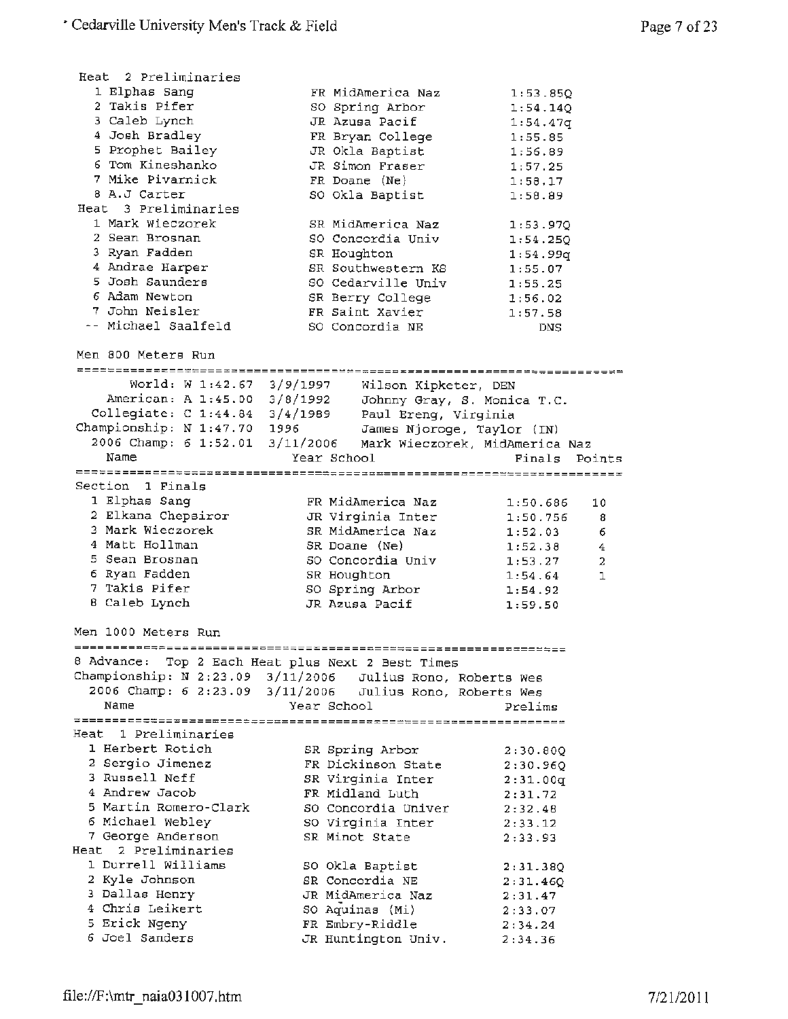| Heat 2 Preliminaries            |                                                            |                                |
|---------------------------------|------------------------------------------------------------|--------------------------------|
| 1 Elphas Sang                   | FR MidAmerica Naz                                          | 1:53.85Q                       |
| 2 Takis Pifer                   | SO Spring Arbor                                            | 1:54.140                       |
| 3 Caleb Lynch                   | JR Azusa Pacif                                             | 1:54.47q                       |
| 4 Josh Bradley                  | FR Bryan College                                           | 1:55.85                        |
| 5 Prophet Bailey                | JR Okla Baptist                                            | 1:56.89                        |
| 6 Tom Kineshanko                | JR Simon Fraser                                            | 1:57.25                        |
| 7 Mike Pivarnick                | FR Doane (Ne)                                              | 1:58.17                        |
| 8 A.J Carter                    | SO Okla Baptist                                            | 1:58.89                        |
| Heat 3 Preliminaries            |                                                            |                                |
| 1 Mark Wieczorek                | SR MidAmerica Naz                                          | 1:53.97Q                       |
| 2 Sean Brosnan                  | SO Concordia Univ                                          | 1:54.250                       |
| 3 Ryan Fadden                   | SR Houghton                                                | 1:54.99q                       |
| 4 Andrae Harper                 | SR Southwestern KS                                         |                                |
| 5 Josh Saunders                 | SO Cedarville Univ                                         | 1:55.07                        |
| 6 Adam Newton                   |                                                            | 1:55.25                        |
|                                 | SR Berry College                                           | 1:56.02                        |
| 7 John Neisler                  | FR Saint Xavier                                            | 1:57.58                        |
| -- Michael Saalfeld             | SO Concordia NE                                            | DNS                            |
| Men 800 Meters Run              |                                                            |                                |
|                                 |                                                            |                                |
| World: W 1:42.67 $3/9/1997$     | Wilson Kipketer, DEN                                       |                                |
| American: A 1:45.00 3/8/1992    | Johnny Gray, S. Monica T.C.                                |                                |
| Collegiate: C 1:44.84 3/4/1989  | Paul Ereng, Virginia                                       |                                |
| Championship: N 1:47.70 1996    | James Njoroge, Taylor (IN)                                 |                                |
| 2006 Champ: 6 1:52.01 3/11/2006 |                                                            | Mark Wieczorek, MidAmerica Naz |
| Name                            | Year School                                                | Finals<br>Points               |
|                                 |                                                            |                                |
| Section 1 Finals                |                                                            |                                |
| 1 Elphas Sang                   | FR MidAmerica Naz                                          |                                |
| 2 Elkana Chepsiror              |                                                            | 1:50.686<br>10                 |
| 3 Mark Wieczorek                | JR Virginia Inter                                          | 1:50.756<br>8                  |
|                                 | SR MidAmerica Naz                                          | 1:52.03<br>6                   |
| 4 Matt Hollman                  | SR Doane (Ne)                                              | 1:52.38<br>4                   |
| 5 Sean Brosnan                  | SO Concordia Univ                                          | 1:53.27<br>2                   |
| 6 Ryan Fadden                   | SR Houghton                                                | 1<br>1:54.64                   |
| 7 Takis Pifer                   | SO Spring Arbor                                            | 1:54.92                        |
| 8 Caleb Lynch                   | JR Azusa Pacif                                             | 1:59.50                        |
| Men 1000 Meters Run             |                                                            |                                |
|                                 | 822555588<br> =============================                |                                |
|                                 | 8 Advance: Top 2 Each Heat plus Next 2 Best Times          |                                |
|                                 | Championship: N 2:23.09 3/11/2006 Julius Rono, Roberts Wes |                                |
|                                 | 2006 Champ: 6 2:23.09 3/11/2006 Julius Rono, Roberts Wes   |                                |
| Name                            | Year School                                                | Prelims                        |
|                                 |                                                            |                                |
| Heat 1 Preliminaries            |                                                            |                                |
| 1 Herbert Rotich                | SR Spring Arbor                                            | 2:30.80Q                       |
| 2 Sergio Jimenez                | FR Dickinson State                                         | 2:30.96Q                       |
| 3 Russell Neff                  | SR Virginia Inter                                          | 2:31.00q                       |
| 4 Andrew Jacob                  | FR Midland Luth                                            | 2:31.72                        |
| 5 Martin Romero-Clark           | SO Concordia Univer                                        | 2:32.48                        |
| 6 Michael Webley                | SO Virginia Inter                                          | 2:33.12                        |
| 7 George Anderson               | SR Minot State                                             | 2:33.93                        |
| Heat<br>2 Preliminaries         |                                                            |                                |
| 1 Durrell Williams              | SO Okla Baptist                                            | 2:31.38Q                       |
| 2 Kyle Johnson                  | SR Concordia NE                                            | 2:31.46Q                       |
| 3 Dallas Henry                  | JR MidAmerica Naz                                          | 2:31.47                        |
| 4 Chris Leikert                 | SO Aquinas (Mi)                                            | 2:33.07                        |
| 5 Erick Ngeny                   | FR Embry-Riddle                                            | 2:34.24                        |
| 6 Joel Sanders                  | JR Huntington Univ.                                        | 2:34.36                        |
|                                 |                                                            |                                |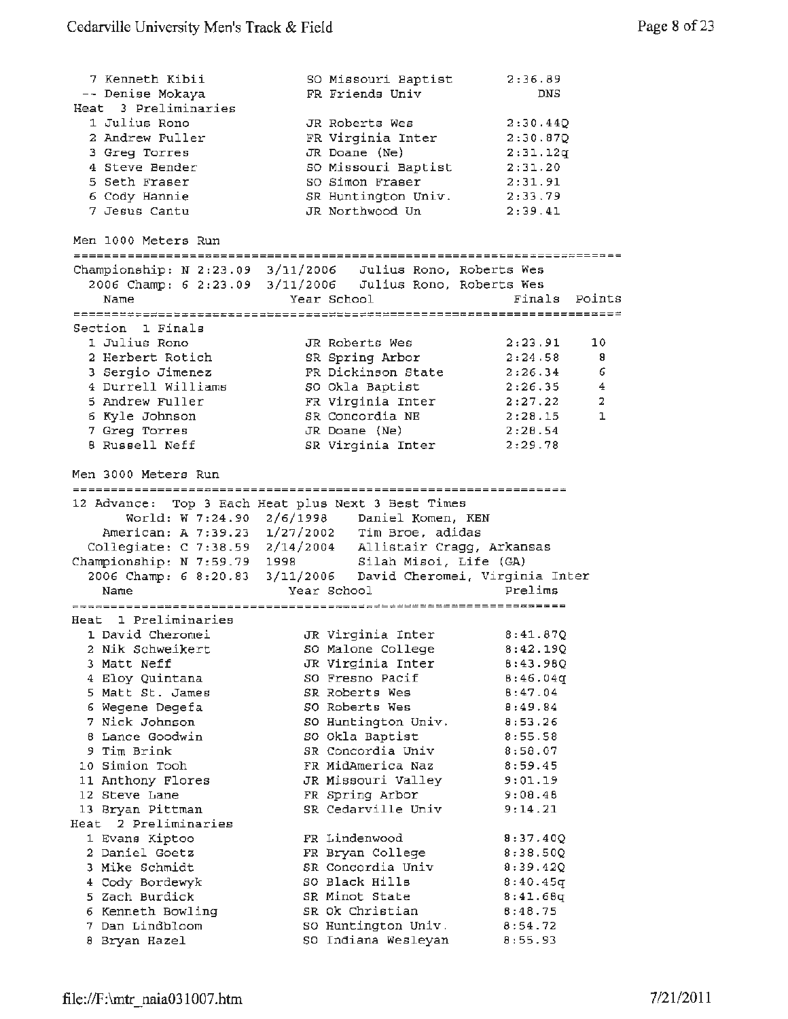| 7 Kenneth Kibii      | SO Missouri Baptist 2:36.89                                |                  |
|----------------------|------------------------------------------------------------|------------------|
| -- Denise Mokaya     | FR Friends Univ                                            | <b>DNS</b>       |
| Heat 3 Preliminaries |                                                            |                  |
| 1 Julius Rono        | JR Roberts Wes                                             | 2:30.440         |
| 2 Andrew Fuller      | FR Virginia Inter                                          | 2:30.870         |
| 3 Greg Torres        | $JR$ Doane (Ne)                                            | 2:31.12q         |
| 4 Steve Bender       | SO Missouri Baptist                                        | 2:31.20          |
| 5 Seth Fraser        | SO Simon Fraser                                            | 2:31.91          |
| 6 Cody Hannie        | SR Huntington Univ. 2:33.79                                |                  |
| 7 Jesus Cantu        | JR Northwood Un                                            | 2:39.41          |
|                      |                                                            |                  |
| Men 1000 Meters Run  |                                                            |                  |
|                      |                                                            |                  |
|                      | Championship: N 2:23.09 3/11/2006 Julius Rono, Roberts Wes |                  |
|                      | 2006 Champ: 6 2:23.09 3/11/2006 Julius Rono, Roberts Wes   |                  |
| Name                 | Year School                                                | Points<br>Finals |
|                      | --------------------                                       |                  |
| Section 1 Finals     |                                                            |                  |
| 1 Julius Rono        | JR Roberts Wes                                             | 10<br>2:23.91    |
| o waakaan pandah i   | $CD = 1 + 1 - 1 + 1 + $                                    |                  |

|                 |                                                                              |                                                                                                                                            | -8                 |
|-----------------|------------------------------------------------------------------------------|--------------------------------------------------------------------------------------------------------------------------------------------|--------------------|
|                 |                                                                              |                                                                                                                                            | - 6                |
|                 |                                                                              | 2:26.35                                                                                                                                    | 4                  |
| 5 Andrew Fuller |                                                                              | 2:27.22                                                                                                                                    | -2.                |
|                 |                                                                              | 2:28.15                                                                                                                                    | 1                  |
| 7 Greg Torres   |                                                                              | 2:28.54                                                                                                                                    |                    |
| 8 Russell Neff  |                                                                              | 2:29.78                                                                                                                                    |                    |
|                 | 2 Herbert Rotich<br>3 Sergio Jimenez<br>4 Durrell Williams<br>6 Kyle Johnson | SR Spring Arbor<br>FR Dickinson State<br>SO Okla Baptist<br>FR Virginia Inter<br>SR Concordia NE<br>$JR$ Doane $(Ne)$<br>SR Virginia Inter | 2:24.58<br>2:26.34 |

Men 3000 Meters Run

12 Advance: Top 3 Each Heat plus Next 3 Best Times World: W 7:24.90 2/6/1998 Daniel Komen, KEN American: A 7:39.23 1/27/2002 Tim Broe, adidas Collegiate: c 7:38.59 2/14/2004 Allistair Cragg, Arkansas Championship: N 7:59.79 1998 Silah Misoi, Life (GA) 2006 Champ: 6 8:20.83 3/11/2006 David Cheromei, Virginia Inter Name Year School Prelims Heat 1 Preliminaries JR Virginia Inter 8:41.87Q 1 David Cheromei so Malone College 2 Nik Schweikert 8:42.19Q JR Virginia Inter 3 Matt Neff 8:43.98Q SO Fresno Pacif 8:46.04q 4 Eloy Quintana s Matt St. James 8:47.04 SR Roberts Wes 8:49.84 6 Wegene Degefa SO Roberts Wes 8:53.26 7 Nick Johnson SO Huntington Univ. SO Okla Baptist 8:55.58 8 Lance Goodwin 9 Tim Brink SR Concordia Univ 8:58.07 10 Simien Tooh 8:59.45 FR MidAmerica Naz 9:01.19 11 Anthony Flores JR Missouri Valley 12 Steve Lane FR Spring Arbor 9:08.48 13 Bryan Pittman SR Cedarville Univ 9:14.21 Heat 2 Preliminaries 1 Evans Kiptoo 8:37.40Q FR Lindenwood 2 Daniel Goetz FR Bryan College 8:38.SOQ SR Concordia Univ 8:39.42Q 3 **Mike** Schmidt SO Black Hills **4** Cody Bordewyk  $8:40.45q$ s Zach Burdick SR Minot State 8:41.68q SR Ok Christian 8:48.75 6 Kenneth Bowling 8:54.72 7 Dan Lindbloom SO Huntington Univ . SO Indiana Wesleyan 8:55.93

8 Bryan Hazel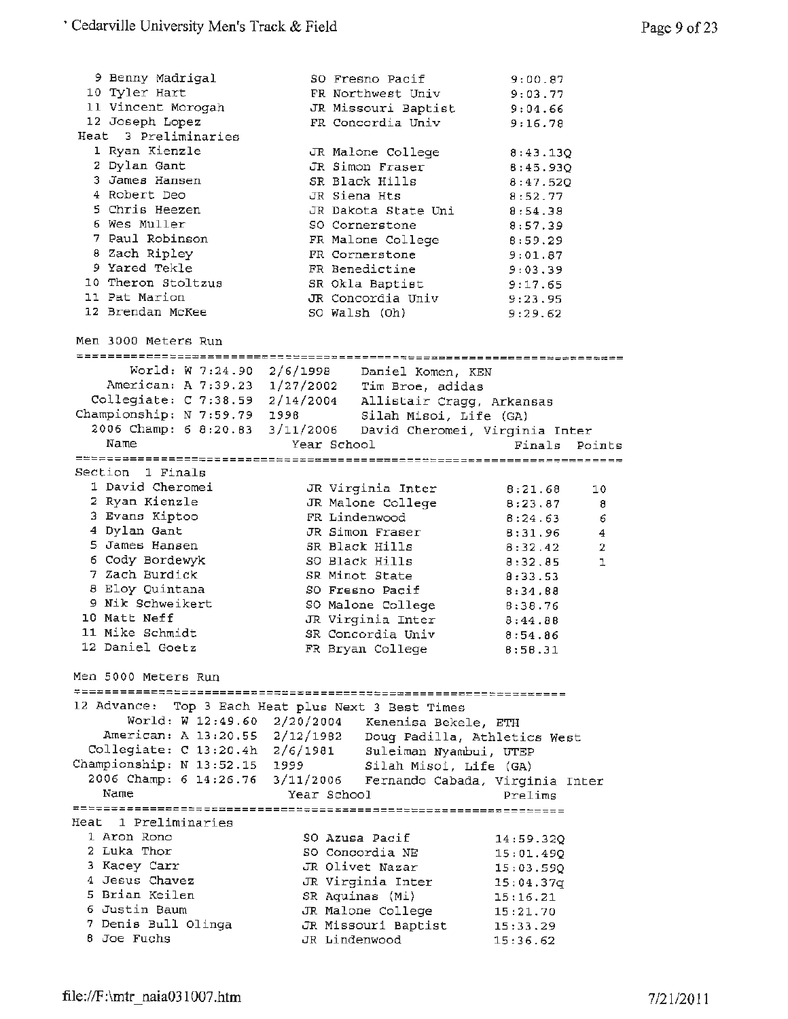|             | 9 Benny Madrigal<br>10 Tyler Hart                                                                                |               | SO Fresno Pacif<br>FR Northwest Univ   | 9:00.87<br>9:03.77 |                              |
|-------------|------------------------------------------------------------------------------------------------------------------|---------------|----------------------------------------|--------------------|------------------------------|
|             | 11 Vincent Morogah                                                                                               |               | JR Missouri Baptist                    | 9:04.66            |                              |
|             | 12 Joseph Lopez<br>Heat 3 Preliminaries                                                                          |               | FR Concordia Univ                      | 9:16.78            |                              |
|             | 1 Ryan Kienzle                                                                                                   |               |                                        |                    |                              |
|             | 2 Dylan Gant                                                                                                     |               | JR Malone College<br>JR Simon Fraser   | 8:43.13Q           |                              |
|             | 3 James Hansen                                                                                                   |               | SR Black Hills                         | 8:45.93Q           |                              |
|             | 4 Robert Deo                                                                                                     | JR Siena Hts  |                                        | 8:47.520           |                              |
|             | 5 Chris Heezen                                                                                                   |               | JR Dakota State Uni                    | 8:52.77            |                              |
|             | 6 Wes Muller                                                                                                     |               |                                        | 8:54.38            |                              |
|             | 7 Paul Robinson                                                                                                  |               | SO Cornerstone                         | 8:57.39            |                              |
|             |                                                                                                                  |               | FR Malone College                      | 8:59.29            |                              |
|             | 8 Zach Ripley<br>9 Yared Tekle                                                                                   |               | FR Cornerstone<br>FR Benedictine       | 9:01.87            |                              |
|             | 10 Theron Stoltzus                                                                                               |               |                                        | 9:03.39            |                              |
|             | 11 Pat Marion                                                                                                    |               | SR Okla Baptist                        | 9:17.65            |                              |
|             | 12 Brendan McKee                                                                                                 |               | JR Concordia Univ                      | 9:23.95            |                              |
|             |                                                                                                                  |               | SO Walsh (Oh)                          | 9:29.62            |                              |
|             | Men 3000 Meters Run                                                                                              |               |                                        |                    |                              |
|             | World: W 7:24.90 2/6/1998 Daniel Komen, KEN                                                                      |               |                                        |                    |                              |
|             | American: A 7:39.23 1/27/2002 Tim Broe, adidas                                                                   |               |                                        |                    |                              |
|             |                                                                                                                  |               |                                        |                    |                              |
|             | Collegiate: C 7:38.59 2/14/2004 Allistair Cragg, Arkansas<br>Championship: N 7:59.79 1998 Silah Misoi, Life (GA) |               |                                        |                    |                              |
|             | 2006 Champ: 6 8:20.83 3/11/2006 David Cheromei, Virginia Inter                                                   |               |                                        |                    |                              |
| Name        |                                                                                                                  | Year School   |                                        | Finals             | Points                       |
|             |                                                                                                                  |               |                                        |                    |                              |
|             | Section 1 Finals                                                                                                 |               |                                        |                    |                              |
|             | 1 David Cheromei                                                                                                 |               | JR Virginia Inter                      | 8:21.68            | 10                           |
|             | 2 Ryan Kienzle                                                                                                   |               | JR Malone College                      | 8:23.87            |                              |
|             | 3 Evans Kiptoo                                                                                                   |               | FR Lindenwood                          |                    | 8                            |
|             | 4 Dylan Gant                                                                                                     |               | JR Simon Fraser                        | 8:24.63            | 6<br>$\overline{\mathbf{4}}$ |
|             | 5 James Hansen                                                                                                   |               | SR Black Hills                         | 8:31.96            | $\overline{2}$               |
|             | 6 Cody Bordewyk                                                                                                  |               | SO Black Hills                         | 8:32.42            |                              |
|             | 7 Zach Burdick                                                                                                   |               | SR Minot State                         | 8:32.85            | ı                            |
|             | 8 Eloy Quintana                                                                                                  |               |                                        | 8:33.53            |                              |
|             | 9 Nik Schweikert                                                                                                 |               | SO Fresno Pacif                        | 8:34.88            |                              |
|             |                                                                                                                  |               | SO Malone College                      | 8:38.76            |                              |
|             | 10 Matt Neff                                                                                                     |               | JR Virginia Inter                      | 8:44.88            |                              |
|             | 11 Mike Schmidt                                                                                                  |               | SR Concordia Univ                      | 8:54.86            |                              |
|             | 12 Daniel Goetz                                                                                                  |               | FR Bryan College                       | 8:58.31            |                              |
|             | Men 5000 Meters Run                                                                                              |               |                                        |                    |                              |
| 12 Advance: |                                                                                                                  |               | Top 3 Each Heat plus Next 3 Best Times |                    |                              |
|             | World: W 12:49.60 2/20/2004 Kenenisa Bekele, ETH                                                                 |               |                                        |                    |                              |
|             | American: A 13:20.55 2/12/1982                                                                                   |               | Doug Padilla, Athletics West           |                    |                              |
|             | Collegiate: C 13:20.4h 2/6/1981                                                                                  |               | Suleiman Nyambui, UTEP                 |                    |                              |
|             | Championship: N 13:52.15 1999                                                                                    |               |                                        |                    |                              |
|             |                                                                                                                  |               | Silah Misoi, Life (GA)                 |                    |                              |
| Name        | 2006 Champ: 6 14:26.76 3/11/2006 Fernando Cabada, Virginia Inter                                                 | Year School   |                                        |                    |                              |
|             |                                                                                                                  |               |                                        | Prelims            |                              |
|             | Heat 1 Preliminaries                                                                                             |               |                                        |                    |                              |
|             | 1 Aron Rono                                                                                                      |               | SO Azusa Pacif                         |                    |                              |
|             | 2 Luka Thor                                                                                                      |               | SO Concordia NE                        | 14:59.32Q          |                              |
|             | 3 Kacey Carr                                                                                                     |               |                                        | 15:01.490          |                              |
|             | 4 Jesus Chavez                                                                                                   |               | JR Olivet Nazar                        | 15:03.590          |                              |
|             | 5 Brian Keilen                                                                                                   |               | JR Virginia Inter                      | 15:04.37q          |                              |
|             |                                                                                                                  |               | SR Aquinas (Mi)                        | 15:16.21           |                              |
|             | 6 Justin Baum                                                                                                    |               | JR Malone College                      | 15:21.70           |                              |
|             | 7 Denis Bull Olinga                                                                                              |               | JR Missouri Baptist                    | 15:33.29           |                              |
|             | 8 Joe Fuchs                                                                                                      | JR Lindenwood |                                        | 15:36.62           |                              |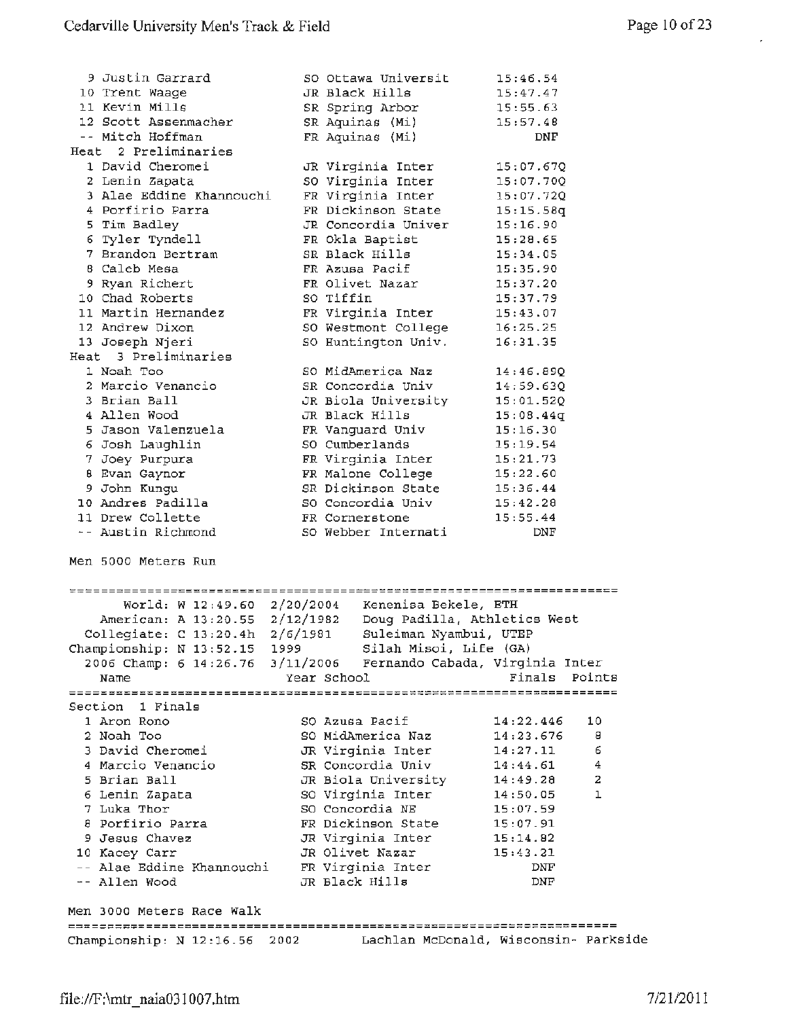| 9 Justin Garrard                                                             | SO Ottawa Universit                       | 15:46.54                   |
|------------------------------------------------------------------------------|-------------------------------------------|----------------------------|
| 10 Trent Waage                                                               | JR Black Hills                            | 15:47.47                   |
| 11 Kevin Mills                                                               | SR Spring Arbor                           | 15:55.63                   |
| 12 Scott Assenmacher                                                         | SR Aquinas (Mi)                           | 15:57.48                   |
| -- Mitch Hoffman                                                             | FR Aquinas (Mi)                           | DNF                        |
| Heat 2 Preliminaries                                                         |                                           |                            |
| 1 David Cheromei<br>2 Lenin Zapata                                           | JR Virginia Inter<br>SO Virginia Inter    | 15:07.67Q                  |
| 3 Alae Eddine Khannouchi                                                     | FR Virginia Inter                         | 15:07.70Q<br>15:07.72Q     |
| 4 Porfirio Parra                                                             | FR Dickinson State                        | 15:15.58q                  |
| 5 Tim Badley                                                                 | JR Concordia Univer                       | 15:16.90                   |
| 6 Tyler Tyndell                                                              | FR Okla Baptist                           | 15:28.65                   |
| 7 Brandon Bertram                                                            | SR Black Hills                            | 15:34.05                   |
| 8 Caleb Mesa                                                                 | FR Azusa Pacif                            | 15:35.90                   |
| 9 Ryan Richert                                                               | FR Olivet Nazar                           | 15:37.20                   |
| 10 Chad Roberts                                                              | SO Tiffin                                 | 15:37.79                   |
| 11 Martin Hernandez                                                          | FR Virginia Inter                         | 15:43.07                   |
| 12 Andrew Dixon                                                              | SO Westmont College                       | 16:25.25                   |
| 13 Joseph Njeri                                                              | SO Huntington Univ.                       | 16:31.35                   |
| Heat 3 Preliminaries                                                         |                                           |                            |
| 1 Noah Too                                                                   | SO MidAmerica Naz                         | 14:46.890                  |
| 2 Marcio Venancio                                                            | SR Concordia Univ                         | 14:59.630                  |
| 3 Brian Ball                                                                 | JR Biola University                       | 15:01.52Q                  |
| 4 Allen Wood                                                                 | JR Black Hills                            | 15:08.44q                  |
| 5 Jason Valenzuela                                                           | FR Vanguard Univ                          | 15:16.30                   |
| 6 Josh Laughlin                                                              | SO Cumberlands                            | 15:19.54                   |
| 7 Joey Purpura                                                               | FR Virginia Inter                         | 15:21.73                   |
| 8 Evan Gaynor                                                                | FR Malone College 15:22.60                |                            |
| 9 John Kungu                                                                 | SR Dickinson State 15:36.44               |                            |
| 10 Andres Padilla                                                            | SO Concordia Univ                         | 15:42.28                   |
| 11 Drew Collette                                                             | FR Cornerstone                            | 15:55.44                   |
| -- Austin Richmond                                                           | SO Webber Internati                       | DNF                        |
| Men 5000 Meters Run                                                          |                                           |                            |
| Votossassassassassassassassassassassastelessassassassassassassassassassassas |                                           |                            |
| World: W 12:49.60 $2/20/2004$                                                | Kenenisa Bekele, ETH                      |                            |
| American: A 13:20.55 2/12/1982                                               | Doug Padilla, Athletics West              |                            |
| Collegiate: C 13:20.4h 2/6/1981                                              | Suleiman Nyambui, UTEP                    |                            |
| Championship: N 13:52.15 1999                                                | Silah Misoi, Life (GA)                    |                            |
| 2006 Champ: 6 14:26.76                                                       | 3/11/2006 Fernando Cabada, Virginia Inter |                            |
| Name                                                                         | Year School                               | Finals<br>Points           |
|                                                                              |                                           |                            |
| Section 1 Finals                                                             |                                           |                            |
| 1 Aron Rono                                                                  | SO Azusa Pacif                            | 14:22.446<br>10            |
| 2 Noah Too                                                                   | SO MidAmerica Naz                         | 14:23.676<br>8             |
| 3 David Cheromei                                                             | JR Virginia Inter                         | 6<br>14:27.11              |
| 4 Marcio Venancio                                                            | SR Concordia Univ                         | 4<br>14:44.61              |
| 5 Brian Ball                                                                 | JR Biola University                       | $\overline{a}$<br>14:49.28 |
| 6 Lenin Zapata                                                               | SO Virginia Inter                         | 1<br>14:50.05              |
| 7 Luka Thor                                                                  | SO Concordia NE                           | 15:07.59                   |
| 8 Porfirio Parra                                                             | FR Dickinson State                        | 15:07.91                   |
| 9 Jesus Chavez                                                               | JR Virginia Inter                         | 15:14.82                   |
| 10 Kacey Carr                                                                | JR Olivet Nazar                           | 15:43.21                   |
| -- Alae Eddine Khannouchi                                                    | FR Virginia Inter                         | DNF                        |
| -- Allen Wood                                                                | JR Black Hills                            | DNF                        |
| Men 3000 Meters Race Walk                                                    |                                           |                            |
|                                                                              |                                           |                            |
| Championship: N 12:16.56 2002 Lachlan McDonald, Wisconsin- Parkside          |                                           |                            |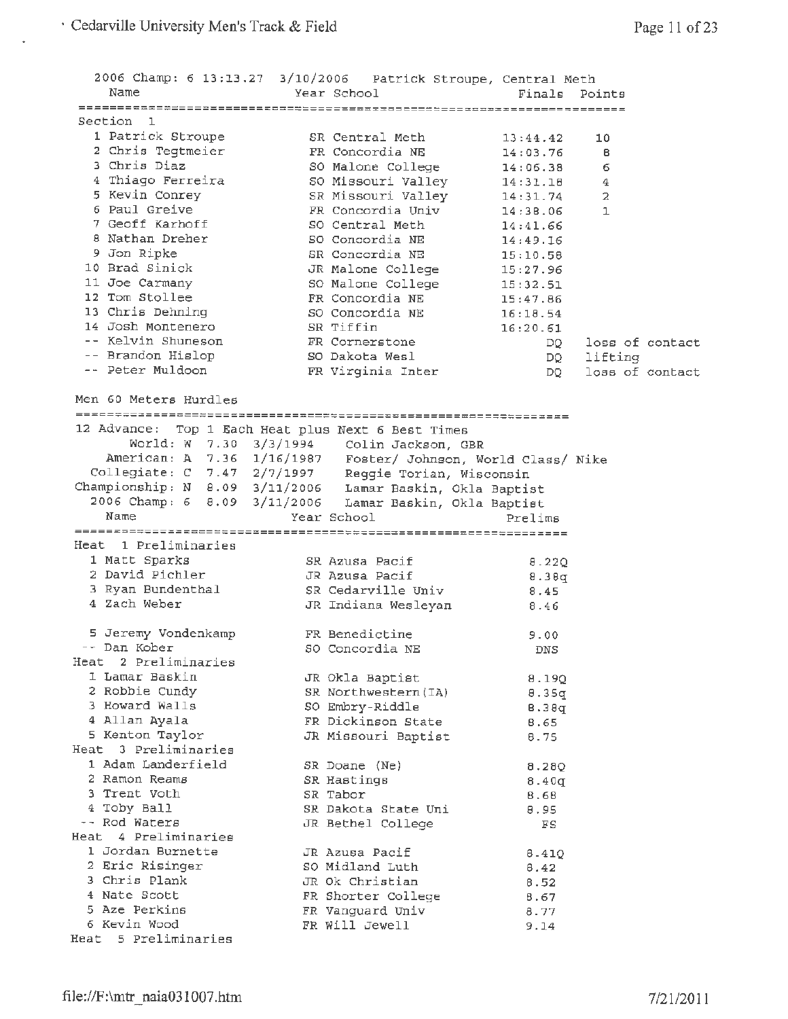|                                   | 2006 Champ: 6 13:13.27 3/10/2006 Patrick Stroupe, Central Meth |             |                 |
|-----------------------------------|----------------------------------------------------------------|-------------|-----------------|
| Name                              | Year School                                                    | Finals      | Points          |
|                                   |                                                                |             |                 |
| Section 1                         |                                                                |             |                 |
| 1 Patrick Stroupe                 | SR Central Meth                                                | 13:44.42    | 10              |
| 2 Chris Tegtmeier<br>3 Chris Diaz | FR Concordia NE                                                | 14:03.76    | в               |
|                                   | SO Malone College                                              | 14:06.38    | 6               |
| 4 Thiago Ferreira                 | SO Missouri Valley                                             | 14:31.18    | $\overline{4}$  |
| 5 Kevin Conrey                    | SR Missouri Valley 14:31.74                                    |             | 2               |
| 6 Paul Greive                     | FR Concordia Univ                                              | 14:38.06    | 1               |
| 7 Geoff Karhoff                   | SO Central Meth                                                | 14:41.66    |                 |
| 8 Nathan Dreher                   | SO Concordia NE                                                | 14:49.16    |                 |
| 9 Jon Ripke                       | SR Concordia NE                                                | 15:10.58    |                 |
| 10 Brad Sinick                    | JR Malone College                                              | 15:27.96    |                 |
| 11 Joe Carmany                    | SO Malone College                                              | 15:32.51    |                 |
| 12 Tom Stollee                    | FR Concordia NE                                                | 15:47.86    |                 |
| 13 Chris Dehning                  | SO Concordia NE                                                | 16:18.54    |                 |
| 14 Josh Montenero                 | SR Tiffin                                                      | 16:20.61    |                 |
| -- Kelvin Shuneson                | FR Cornerstone                                                 | DO –        | loss of contact |
| -- Brandon Hislop                 | SO Dakota Wesl                                                 |             | DQ lifting      |
| -- Peter Muldoon                  | FR Virginia Inter                                              | DQ —        | loss of contact |
| Men 60 Meters Hurdles             |                                                                |             |                 |
|                                   |                                                                |             |                 |
|                                   | 12 Advance: Top 1 Each Heat plus Next 6 Best Times             |             |                 |
|                                   | World: W 7.30 3/3/1994 Colin Jackson, GBR                      |             |                 |
|                                   | American: A 7.36 1/16/1987 Foster/ Johnson, World Class/ Nike  |             |                 |
|                                   | Collegiate: C 7.47 2/7/1997 Reggie Torian, Wisconsin           |             |                 |
|                                   | Championship: N 8.09 3/11/2006 Lamar Baskin, Okla Baptist      |             |                 |
|                                   | 2006 Champ: 6 8.09 3/11/2006 Lamar Baskin, Okla Baptist        |             |                 |
| Name                              | Year School                                                    | Prelims     |                 |
|                                   |                                                                |             |                 |
| Heat 1 Preliminaries              |                                                                |             |                 |
| 1 Matt Sparks                     | SR Azusa Pacif                                                 | 8.22Q       |                 |
| 2 David Pichler                   | JR Azusa Pacif                                                 | 8.38q       |                 |
| 3 Ryan Bundenthal                 | SR Cedaryille Univ                                             | 8.45        |                 |
| 4 Zach Weber                      | JR Indiana Wesleyan                                            | 8.46        |                 |
|                                   |                                                                |             |                 |
| 5 Jeremy Vondenkamp               | FR Benedictine                                                 | 9.00        |                 |
| -- Dan Kober                      | SO Concordia NE                                                | DNS         |                 |
| Heat 2 Preliminaries              |                                                                |             |                 |
| 1 Lamar Baskin                    | JR Okla Baptist                                                | 8.19Q       |                 |
| 2 Robbie Cundy                    | SR Northwestern (IA)                                           | 8.35g       |                 |
| 3 Howard Walls                    | SO Embry-Riddle                                                | B.38q       |                 |
| 4 Allan Ayala                     | FR Dickinson State                                             | 8.65        |                 |
| 5 Kenton Taylor                   | JR Missouri Baptist                                            | 8.75        |                 |
| Heat 3 Preliminaries              |                                                                |             |                 |
| 1 Adam Landerfield                | SR Doane (Ne)                                                  | 8.28Q       |                 |
| 2 Ramon Reams                     | SR Hastings                                                    | 8.40q       |                 |
| 3 Trent Voth                      | SR Tabor                                                       | 8.68        |                 |
| 4 Toby Ball                       | SR Dakota State Uni                                            | 8,95        |                 |
| -- Rod Waters                     | JR Bethel College                                              | $_{\rm FS}$ |                 |
| Heat 4 Preliminaries              |                                                                |             |                 |
| 1 Jordan Burnette                 | JR Azusa Pacif                                                 | 8.41Q       |                 |
| 2 Eric Risinger                   | SO Midland Luth                                                | 8.42        |                 |
| 3 Chris Plank                     | JR Ok Christian                                                | 8.52        |                 |
| 4 Nate Scott                      | FR Shorter College                                             | 8.67        |                 |
| 5 Aze Perkins                     | FR Vanguard Univ                                               | 8.77        |                 |
| 6 Kevin Wood                      | FR Will Jewell                                                 | 9.14        |                 |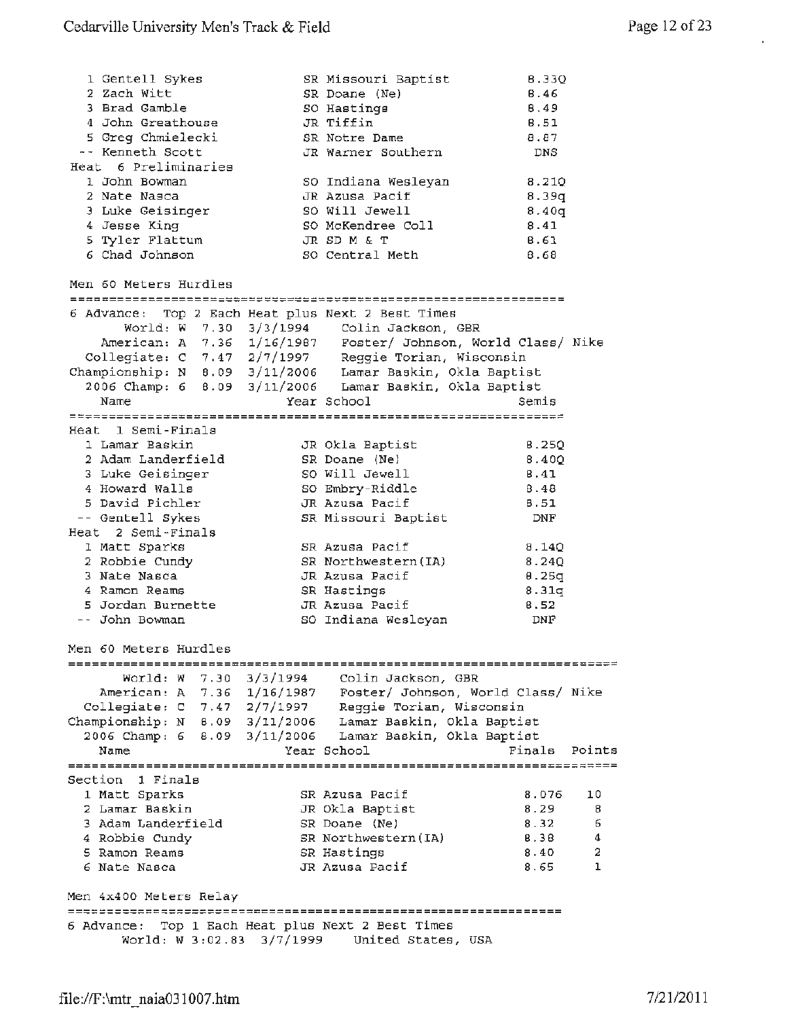l,

| 1 Gentell Sykes<br>2 Zach Witt<br>3 Brad Gamble<br>4 John Greathouse<br>5 Greg Chmielecki<br>-- Kenneth Scott<br>Heat 6 Preliminaries<br>1 John Bowman<br>2 Nate Nasca<br>3 Luke Geisinger<br>4 Jesse King<br>5 Tyler Flattum<br>6 Chad Johnson |           | SR Missouri Baptist<br>SR Doane (Ne)<br>SO Hastings<br>JR Tiffin<br>SR Notre Dame<br>JR Warner Southern<br>SO Indiana Wesleyan<br>JR Azusa Pacif<br>SO Will Jewell<br>SO McKendree Coll<br>JR SD M & T<br>SO Central Meth | 8.330<br>6.46<br>8,49<br>8.51<br>8.87<br>DNS<br>8.210<br>8.39q<br>8.40q<br>8.41<br>8.61<br>8.68 |                             |
|-------------------------------------------------------------------------------------------------------------------------------------------------------------------------------------------------------------------------------------------------|-----------|---------------------------------------------------------------------------------------------------------------------------------------------------------------------------------------------------------------------------|-------------------------------------------------------------------------------------------------|-----------------------------|
| Men 60 Meters Hurdles                                                                                                                                                                                                                           |           |                                                                                                                                                                                                                           |                                                                                                 |                             |
| 6 Advance: Top 2 Each Heat plus Next 2 Best Times<br>Collegiate: C 7.47 2/7/1997 Reggie Torian, Wisconsin<br>Championship: N 8.09 3/11/2006 Lamar Baskin, Okla Baptist<br>Name                                                                  |           | World: W 7.30 3/3/1994 Colin Jackson, GBR<br>American: A 7.36 1/16/1987 Foster/ Johnson, World Class/ Nike<br>2006 Champ: 6 8.09 3/11/2006 Lamar Baskin, Okla Baptist<br>Year School                                      | Semis                                                                                           |                             |
| Heat 1 Semi-Finals                                                                                                                                                                                                                              |           |                                                                                                                                                                                                                           |                                                                                                 |                             |
| 1 Lamar Baskin<br>2 Adam Landerfield<br>3 Luke Geisinger<br>4 Howard Walls<br>5 David Pichler                                                                                                                                                   |           | JR Okla Baptist<br>SR Doane (Ne)<br>SO Will Jewell<br>SO Embry-Riddle<br>JR Azusa Pacif                                                                                                                                   | 8.250<br>8.400<br>8.41<br>8.48<br>8.51                                                          |                             |
| -- Gentell Sykes<br>Heat 2 Semi-Finals                                                                                                                                                                                                          |           | SR Missouri Baptist                                                                                                                                                                                                       | DNF                                                                                             |                             |
| 1 Matt Sparks<br>2 Robbie Cundy<br>3 Nate Nasca<br>4 Ramon Reams<br>5 Jordan Burnette<br>-- John Bowman                                                                                                                                         |           | SR Azusa Pacif<br>SR Northwestern (IA)<br>JR Azusa Pacif<br>SR Hastings<br>JR Azusa Pacif<br>SO Indiana Wesleyan                                                                                                          | 8.140<br>8.24Q<br>0.25q<br>8.31q<br>8.52<br>DNF                                                 |                             |
| Men 60 Meters Hurdles                                                                                                                                                                                                                           |           |                                                                                                                                                                                                                           |                                                                                                 |                             |
| Collegiate: C 7.47 2/7/1997<br>Championship: $N = 8.09 = 3/11/2006$<br>2006 Champ: 6<br>8.09                                                                                                                                                    | 3/11/2006 | World: W 7.30 3/3/1994 Colin Jackson, GBR<br>American: A 7.36 1/16/1987 Foster/ Johnson, World Class/ Nike<br>Reggie Torian, Wisconsin<br>Lamar Baskin, Okla Baptist<br>Lamar Baskin, Okla Baptist                        |                                                                                                 |                             |
| Name                                                                                                                                                                                                                                            |           | Year School                                                                                                                                                                                                               | Finals                                                                                          | Points                      |
| Section 1 Finals                                                                                                                                                                                                                                |           |                                                                                                                                                                                                                           |                                                                                                 |                             |
| 1 Matt Sparks<br>2 Lamar Baskin<br>3 Adam Landerfield<br>4 Robbie Cundy<br>5 Ramon Reams<br>6 Nate Nasca                                                                                                                                        |           | SR Azusa Pacif<br>JR Okla Baptist<br>SR Doane (Ne)<br>SR Northwestern (IA)<br>SR Hastings<br>JR Azusa Pacif                                                                                                               | 8.076<br>8.29<br>8.32<br><b>B.38</b><br>8.40<br>8.65                                            | 10<br>8<br>6<br>4<br>2<br>ı |
| Men 4x400 Meters Relay                                                                                                                                                                                                                          |           |                                                                                                                                                                                                                           |                                                                                                 |                             |
| 6 Advance: Top 1 Each Heat plus Next 2 Best Times                                                                                                                                                                                               |           | ----------------------<br>World: W 3:02.83 3/7/1999 United States, USA                                                                                                                                                    |                                                                                                 |                             |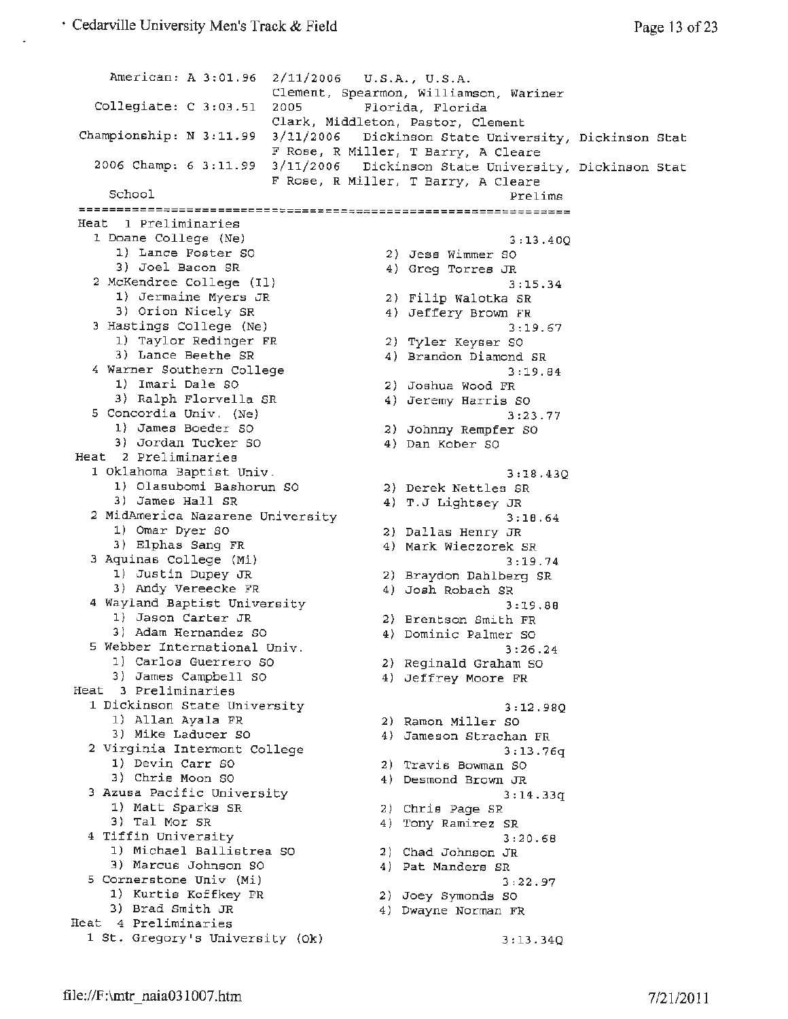```
American: A 3:01.96 2/11/2006 U.S.A., U.S.A. 
                          Clement, Spearmon, Williamson, Wariner 
   Collegiate: C 3:03.51 2005 Florida, Florida 
                          Clark, Middleton, Pastor, Clement 
 Championship: N 3:11.99 3/11/2006 
Dickinson State University, 
Dickinson Stat 
                          F Rose, R 
Miller, T Barry, A Cleare 
   2006 Champ: 6 3:11.99 3/11/2006 
Dickinson State University, 
Dickinson Stat 
     School 
 Heat 1 Preliminaries 
   1 Doane College (Ne) 
      1) Lance Foster SO 
      3) Joel Bacon SR 
                          F Rose, 
R 
Miller, T Barry, A Cleare 
   2McKendree College (Il) 
     1) Jermaine Myers JR 
     3) Orion Nicely SR 
   3Hastings College (Ne) 
     1) Taylor Redinger FR 
     3) Lance Beethe SR 
  4Warner Southern College 
      1) Imari Dale SO 
      3) Ralph Florvella SR 
  5Concordia Univ. (Ne) 
     1) James Boeder SO 
     3) Jordan Tucker SO 
Heat 2 Preliminaries 
  1 Oklahoma Baptist Univ . 
      1) Olasubomi Bashorun SO 
      3) James Hall SR 
  2 MidAmerica Nazarene University
     1) Omar Dyer SO 
     3) Elphas Sang FR 
  3Aquinas College (Mi) 
     1) Justin Dupey JR 
     3) Andy Vereecke FR 
  4 Wayland Baptist University 
     1) Jason Carter JR 
     3) Adam Hernandez SO 
  5 Webber International Univ. 
     1) Carlos Guerrero so 
     3) James Campbell SO 
Heat 3 Preliminaries 
  1 Dickinson State University 
     1) Allan Ayala FR 
     3) Mike Laducer so 
  2 Virginia Intermont College 
     1) Devin Carr SO 
     3) Chris Moon SO 
  3 Azusa Pacific University 
     1) Matt Sparks SR 
     3) Tal Mor SR 
  4 Tiffin University 
     1) Michael Ballistrea SO 
2) Chad Johnson JR 
     3) Marcus Johnson so 
  5 Cornerstone Univ (Mi) 
     1) Kurtis Koffkey FR 
     3) Brad Smith JR 
Heat 4 Preliminaries 
  1 St. Gregory's University (Ok) 
                                                         Prelims 
                                                         3:13.40Q 
                                         2) Jess Wimmer SO 
                                         4) Greg Torres JR 
                                                         3;15.34 
                                         2) Filip Walotka SR 
                                         4) Jeffery Brown FR 
                                                        3:19.67 
                                  2) Tyler Keyser SO<br>4) Brandon Diamond
                                       4) Brandon Diamond SR 
                                                         3:19.84 
                                         2) Joshua wood FR 
                                         4) Jeremy Harris SO 
                                                         3:23.77 
                                         2) Johnny Rempfer so 
                                         4) Dan Kober SO 
                                                         3:18.43Q 
                                    2) Derek Nettles SR 
                                        4) T.J Lightsey JR 
                                                         3;18.64 
                                        2) Dallas Henry JR 
                                       4) Mark Wieczorek SR 
                                                         3:19.74 
                                         2) Braydon Dahlberg SR 
                                         4) Josh Robach SR 
                                                         3:19.88 
                                     2) Brentson Smith FR 
                                       4) Dominic Palmer so 
                                                        3:26.24 
                                      2) Reginald Graham SO 
                                        4) Jeffrey Moore FR 
                                                        3:12.98Q 
                                       2) Ramon Miller SO 
                                       4) Jameson Strachan FR 
                                                        3:13.76q 
                                      2) Travis Bowman SO 
                                       4) Desmond Brown JR 
                                                        3: 14. 33q 
                                    :<br>2) Chris Page SR<br>4) T
                                       4) Tony Ramirez SR 
                                                        3:20.68 
                                       4) Pat Manders SR 
                                                        3:22.97 
                                       2) Joey Symonds so 
                                       4) Dwayne Norman FR 
                                                        3: 13. 34Q
```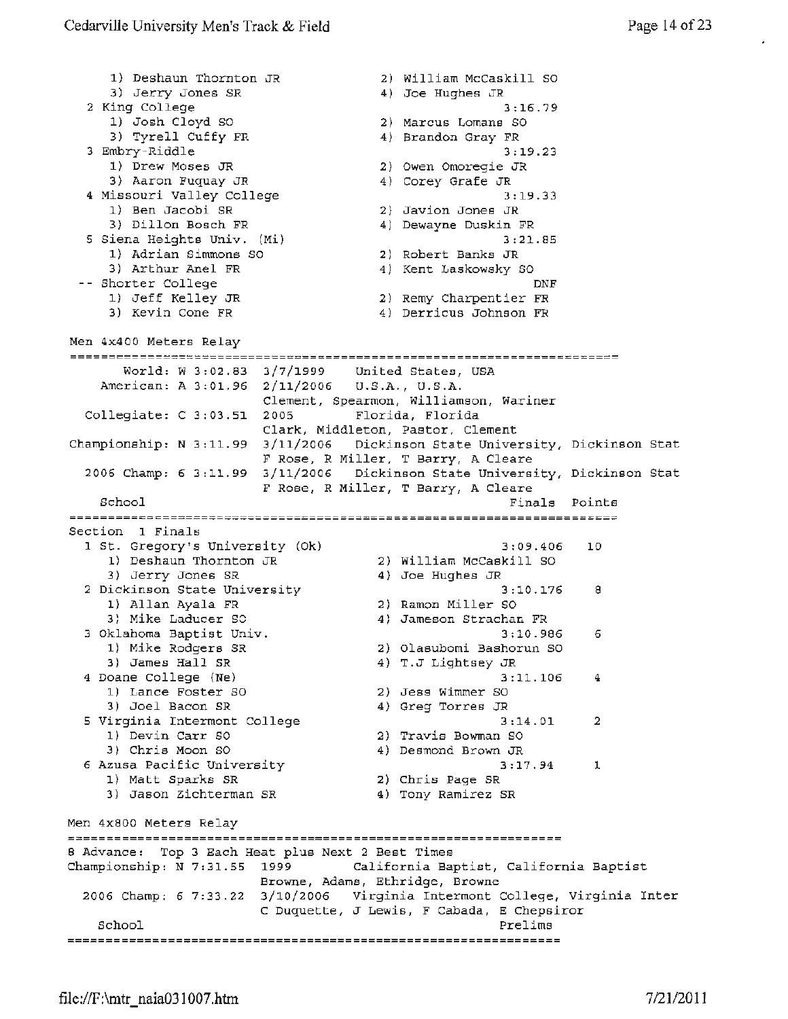1) Deshaun Thornton JR 2) William McCaskill so 3) Jerry Jones SR 4) Joe Hughes JR 2 King College 3;16.79 1) Josh Cloyd so 2) Marcus Lomans so 3) Tyrell Cuffy FR 4) Brandon Gray FR <sup>3</sup>Embry-Riddle 3:19.23 1) Drew Moses JR 2) Owen Omoregie JR 3) Aaron Fuquay JR 4) Corey Grafe JR 4 Missouri Valley College 3;19.33 2) Javion Jones JR 1) Ben Jacobi SR 4) Dewayne Duskin FR 3) Dillon Bosch FR 3) Dillon Bosch FR<br>5 Siena Heights Univ. (Mi)<br>3) Marian Giannos Co 3:21.85 2) Robert Banks JR 1) Adrian Simmons so 3) Arthur Anel FR 4) Kent Laskowsky SO Shorter College DNF 1) Jeff Kelley JR 2) Remy Charpentier **FR**  3) Kevin Cone FR 4) Derricus Johnson **FR**  Men 4x400 Meters Relay World: w 3;02.83 3/7/1999 United States, USA American: A 3:01.96 2/11/2006 U.S.A., U.S.A. Clement, Spearmon, Williamson, Wariner Collegiate: C 3:03.51 2005 Florida, Florida Clark, Middleton, Pastor, Clement Championship: *N* 3: 11. 99 3/11/2006 Dickinson State University, Dickinson Stat F Rose, R Miller, T Barry, A Cleare 2006 Champ: 6 3:11.99 3/11/2006 Dickinson State University, Dickinson Stat F Rose, R Miller, T Barry, A Cleare Finals Points School Section 1 Finals 1 St. Gregory's University (Ok) 3:09.406 3:09.406 10 1) Deshaun Thornton JR 2) William McCaskill SO 3) Jerry Jones SR 4) Joe Hughes JR 2 Dickinson State University 3:10.176  $3:10.176$  8 **1)** Allan Ayala **FR**  2) Ramon Miller SO 3} Mike Laducer SC 4) Jameson Strachan FR <sup>3</sup>Oklahoma Baptist Univ. 3:10.986 6 1) Mike Rodgers SR 2) olasubomi Bashorun so 1) Mike Rodgers SR<br>3) James Hall SR 4) T.J Lightsey JR 3:11.106 4 Doane College (Ne) 3:11.106<br>2) Jess Wimmer SO 4 Oane Correge (1980)<br>1) Lance Foster SO 3) Joel Bacon SR 4) Greg Torres JR <sup>5</sup>Virginia Interment College 3:14.01 2 1) Devin Carr SO 2) Travis Bowman so 3) Chris Moon SO 4) Desmond Brown JR 6 Azusa Pacific University 3:17.94 1 1) Matt Sparks SR 2) Chris Page SR 3) Jason Zichterman SR 4) Tony Ramirez SR Men 4x800 Meters Relay 8 Advance: Top 3 Each Heat plus Next 2 Best Times Championship: N 7:31.55 1999 California Baptist, California Baptist Browne, Adams, Ethridge, Browne 2006 Champ: 6 7:33.22 3/10/2006 Virginia Interment College, Virginia Inter c Duquette, J Lewis, F Cabada, E Chepsiror School Prelims and the set of the set of the Prelims of the Prelims of the Prelims of the Prelims of the Prelims of the Prelims of the Prelims of the Prelims of the Prelims of the Prelims of the Prelims of the Prelims of t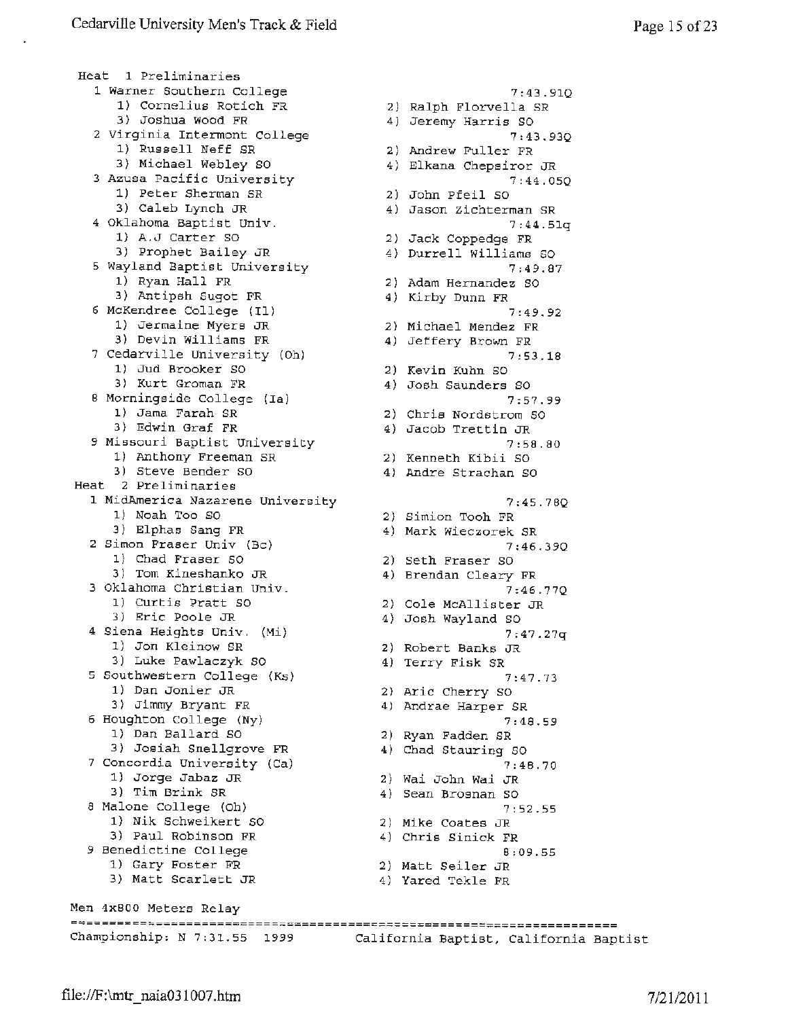Heat 1 Preliminaries 1 Warner Southern College 1) Cornelius Rotich FR 3) Joshua Wood FR 2 Virginia Intermont College 1) Russell Neff SR 3) Michael Webley SO <sup>3</sup>Azusa Pacific University 1) Peter Sherman SR 3) Caleb Lynch JR <sup>4</sup>Oklahoma Baptist Univ . 1} A.J Carter so 3) Prophet Bailey JR <sup>5</sup>Wayland Baptist University 1) Ryan Hall FR 3) Antipsh Sugot FR <sup>6</sup>McKendree College (Ill 1) Jermaine Myers JR 3) Devin Williams FR 7 Cedarville University (Oh) 1) Jud Brooker so 3) Kurt Groman FR <sup>B</sup>Morningside College **(Ia)**  1) Jama Farah SR 3) Edwin Graf **FR**  <sup>9</sup>Missouri Baptist University 1) Anthony Freeman SR 3) Steve Bender SO Heat 2 Preliminaries 1 MidAmerica Nazarene University 1) Noah Too so 3) Elphas Sang FR <sup>2</sup>Simon Fraser Univ (Be) 1) Chad Fraser SO 3) Tom Kineshanko JR <sup>3</sup>Oklahoma Christian Univ. 1) Curtis Pratt so 3) Eric Poole JR <sup>4</sup>Siena Heights Univ. (Mi) 1) Jon Kleinow SR 3) Luke Pawlaczyk SO 5 Southwestern College {Ks) 1) Dan Jonier JR 3) Jimmy Bryant FR <sup>6</sup>Houghton College (Ny) 1) Dan Ballard so 3) Josiah Snellgrove FR <sup>7</sup>Concordia University (Ca) 1) Jorge Jabaz JR 3) Tim Brink SR 8 Malone College (Oh) 1) Nik Schweikert SO 3) Paul Robinson FR 9 Benedictine College 1) Gary Foster FR 3) Matt Scarlett JR Men 4x800 Meters Relay Championship: N 7:31.55 1999 California Baptist, California Baptist

7:43.91Q 2) Ralph Florvella SR 4) Jeremy Harris SO 7:43.93Q 2) Andrew Fuller FR 4) Elkana Chepsiror JR 7:44.0SQ 2) John Pfeil so 4) Jason Zichterman SR 7:44.Slq 2) Jack Coppedge FR 4) Durrell Williams so 7:49.87 2) Adam Hernandez SO 4) Kirby Dunn FR 7:49.92 2) Michael Mendez FR 4) Jeffery Brown FR 7:53.18 2) Kevin Kuhn so 4) Josh Saunders SO 7:57.99 2) Chris Nordstrom SO 4) Jacob Trettin JR 7:58.80 2) Kenneth Kibii SO 4) Andre Strachan SO 7:45.78Q 2) Simian Tooh FR 4) Mark Wieczorek SR 7 :46. 39Q 2) Seth Fraser SO 4) Brendan Cleary **FR**  7:46.77Q 2) Cole McAllister JR 4) Josh Wayland SO 7:47.27q 2) Robert Banks JR 4) Terry **Fisk** SR 7:47.73 2) Arie Cherry so 4) Andrae Harper SR 7:48.59 2) Ryan Fadden SR 4) Chad Stauring SO 7:48.70 2) Wai John Wai JR 4) Sean Brosnan so 7:52.55 2) Mike Coates JR 4) Chris Sinick FR 8:09.55 2) Matt Seiler JR 4) Yared Tekle FR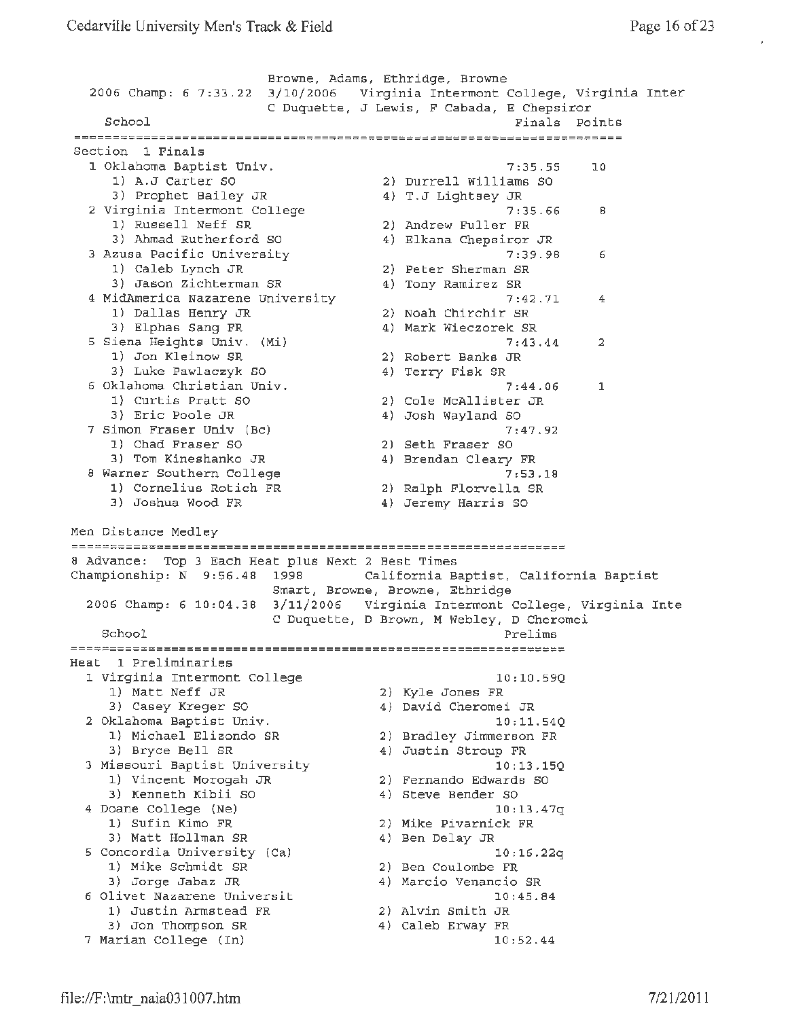Browne, Adams, Ethridge, Browne 2006 Champ: 6 7:33.22 3/10/2006 Virginia Intermont College, Virginia Inter C Duquette, J Lewis, F Cabada, E Chepsiror School **Finals Points** Points **Finals** Points **Finals** Points section 1 Finals<br>Section 1 Finals 1 Oklahoma Baptist Univ. 7:35.55 10 1) A.J Carter SO 2) Durrell Williams SO<br>3) Prophet Bailey JR 4) T.J Lightsey JR 3) Prophet Bailey JR 4) T.J Lightsey JR 2 Virginia Intermont College 7:35.66 8 1) Russell Neff SR 2) Andrew Fuller FR 3) Ahmad Rutherford SO 4) Elkana Chepsiror JR <sup>3</sup>Azusa Pacific University 7:39.98 6 1) Caleb Lynch JR 2) Peter Sherman SR 3) Jason Zichterman SR 4) Tony Ramirez SR 4 MidAmerica Nazarene University 1988 1991 12:42.71 4 1) Dallas Henry JR 2) Noah Chirchir SR 3) Elphas Sang FR 4) Mark Wieczorek SR 5 Siena Heights Univ. (Mi) 7:43.44 2 1) Jon Kleinow SR 2) Robert Banks JR 3) Luke Pawlaczyk SO 4) Terry Fisk SR <sup>6</sup>Oklahoma Christian Univ. 7:44.06 1 1) Curtis Pratt SO 2) Cole McAllister JR 3) Eric Poole JR 4) Josh Wayland SO 7 Simon Fraser Univ (Bc) 7:47.92 1) Chad Fraser SO 2) Seth Fraser SO 3) Tom Kineshanko JR 4) Brendan Cleary FR 8 Warner Southern College 7:53.18 1) Cornelius Rotich FR 2) Ralph Florvella SR 3) Joshua Wood FR 4) Jeremy Harris SO Men Distance Medley <sup>B</sup>Advance: Top 3 Each Heat plus Next 2 Best Times Championship: **N** 9:56.48 1998 California Baptist, California Baptist Smart, Browne, Browne, Ethridge 2006 Champ: 6 10:04.38 3/11/2006 Virginia Intermont College, Virginia Inte C Duquette, D Brown, **M** Webley, D Cheromei  $\text{School}$  Prelims  $\text{Prelims}$ Heat 1 Preliminaries 1 Virginia Intermont College 1) Matt Neff JR 3) Casey Kreger SO 3) Casey Kreger SO<br>2 Oklahoma Baptist Univ. 1) Michael Elizondo SR 3) Bryce Bell SR 3 Missouri Baptist University 1) Vincent Morogah JR 3) Kenneth Kibii SO 3) Kenneth Kibii SO<br>4 Doane College (Ne) 1) Sufin Kimo FR 3) Matt Hollman SR 5 Concordia University (Ca) 1) **Mike** Schmidt SR 3) Jorge Jabaz JR 6 Olivet Nazarene Universit 1) Justin Armstead FR 3) Jon Thompson SR 7 Marian College (In) 10:10.59Q 2) Kyle Jones FR 4) David Cheromei JR 10:ll.S4Q 2) Bradley Jimmerson FR 4) Justin Stroup FR -<br>10:13.15Q 2) Fernando Edwards so 4) Steve Bender SO 10:13.47q 2) Mike Pivarnick FR 4) Ben Delay JR 10:16.22q 2) Ben Coulombe FR 4) Marcia Venancio SR 10:45.84 2) Alvin Smith JR 4) Caleb Erway FR 10:52.44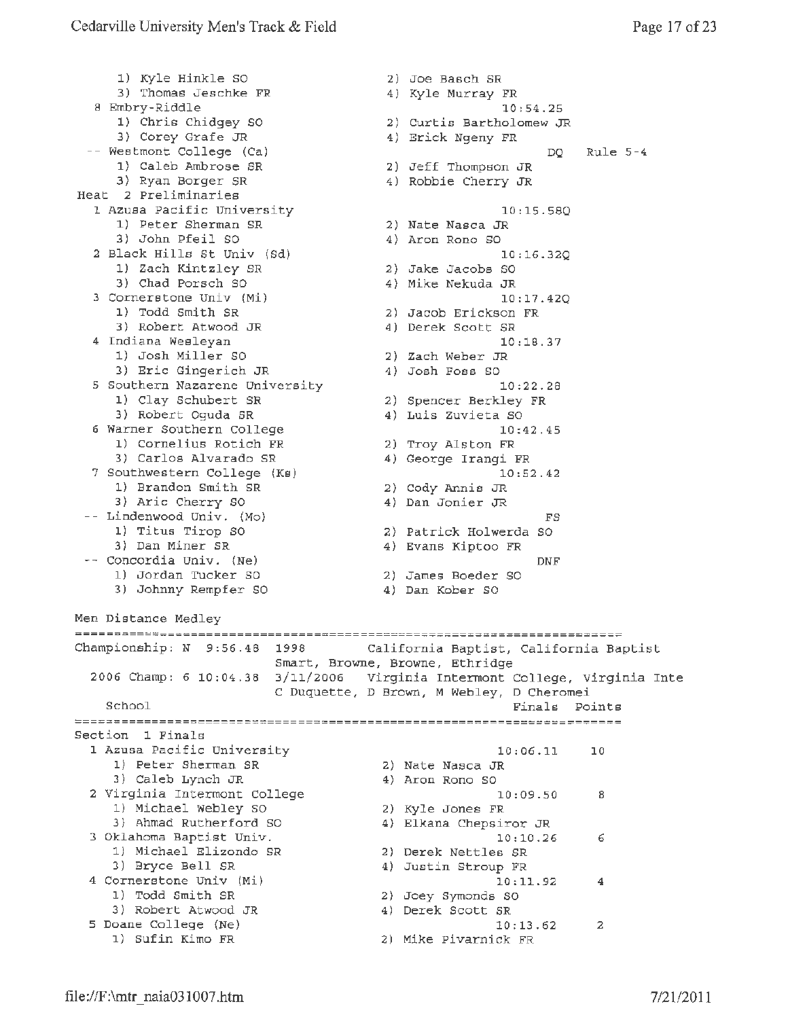1) Kyle Hinkle SO 3) Thomas Jeschke FR <sup>8</sup>Embry-Riddle shory-wider<br>1) Chris Chidgey SO 3) Corey Grafe JR -- Westmont College (Ca) 1) Caleb Ambrose SR 3) Ryan Borger SR Heat 2 Preliminaries 1 Azusa Pacific University 1) Peter Sherman SR 3) John Pfeil SO <sup>2</sup>Black Hills St Univ (Sd) 1) Zach Kintzley SR 3) Chad Porsch SO 3 Cornerstone Univ (Mi)<br>1) Todd Smith SR 1) Todd Smith SR 3) Robert Atwood JR 4 Indiana Wesleyan 1) Josh Miller so 3) Eric Gingerich JR 5 Southern Nazarene University 1) Clay Schubert SR 3) Robert Oguda SR <sup>6</sup>Warner Southern College 1) Cornelius Rotich FR 3) Carlos Alvarado SR 7 Southwestern College (Ks) 1) Brandon Smith SR 3) Arie Cherry SO Lindenwood Univ. (Mo) 1) Titus Tirop SO 3) Dan Miner SR Concordia Univ. (Ne) -- Concordia Univ. (Ne)<br>1) Jordan Tucker SO 3) Johnny Rempfer SO Men Distance Medley 2) Joe Basch SR 4) Kyle Murray FR 10:54.25 2) Curtis Bartholomew JR 4) Erick Ngeny FR DQ Rule 5-4 2) Jeff Thompson JR 4) Robbie Cherry JR 10:15.58Q 2) Nate Nasca JR 4) Aron Rono SO 10:16.32Q 2) Jake Jacobs so 4) Mike Nekuda JR 10:17.42Q 2) Jacob Erickson FR 4) Derek Scott SR 10:18.37 2) Zach Weber JR 4) Josh Foss so 10:22.28 2) Spencer Berkley FR 4) Luis zuvieta so 10:42.45 2) Troy Alston FR 4) George Irangi *FR*  10:52.42 *2)* Cody Annis JR 4) Dan Jonier JR FS 2) Patrick Holwerda so 4) Evans Kiptoo FR DNF 2) James Boeder SO 4) Dan Kober SO Championship: N 9:56.48 1998 California Baptist, California Baptist Smart, Browne, Browne, Ethridge 2006 Champ: 6 10:04.38 3/11/2006 Virginia Intermont College, Virginia Inte C Duquette, D Brown, M Webley, D Cheromei School **Finals** Points **Points** section 1 Finals 1 Azusa Pacific University 10:06.11 10 1) Peter Sherman SR 2) Nate Nasca JR 3) Caleb Lynch JR 4) Aron Rono SO 2 Virginia Intermont College 10:09.50 8 1) Michael Webley SO 2) Kyle Jones FR 3) Ahmad Rutherford SO 4) Elkana Chepsiror JR 3 Oklahoma Baptist Univ. 10:10.26 6 1) Michael Elizondo SR 2) Derek Nettles SR 3) Bryce Bell SR 4) Justin Stroup FR <sup>4</sup>Cornerstone Univ **(Mi)** 10:11.92 **<sup>4</sup>** 4 Cornerstone Univ (Mi) 10:11.92 4<br>1) Todd Smith SR 2) Joey Symonds SO 3) Robert Atwood JR 4) Derek Scott SR 5 Doane College {Ne) 10:13.62 2 1) Sufin *Kimo* FR 2) Mike Pivarnick FR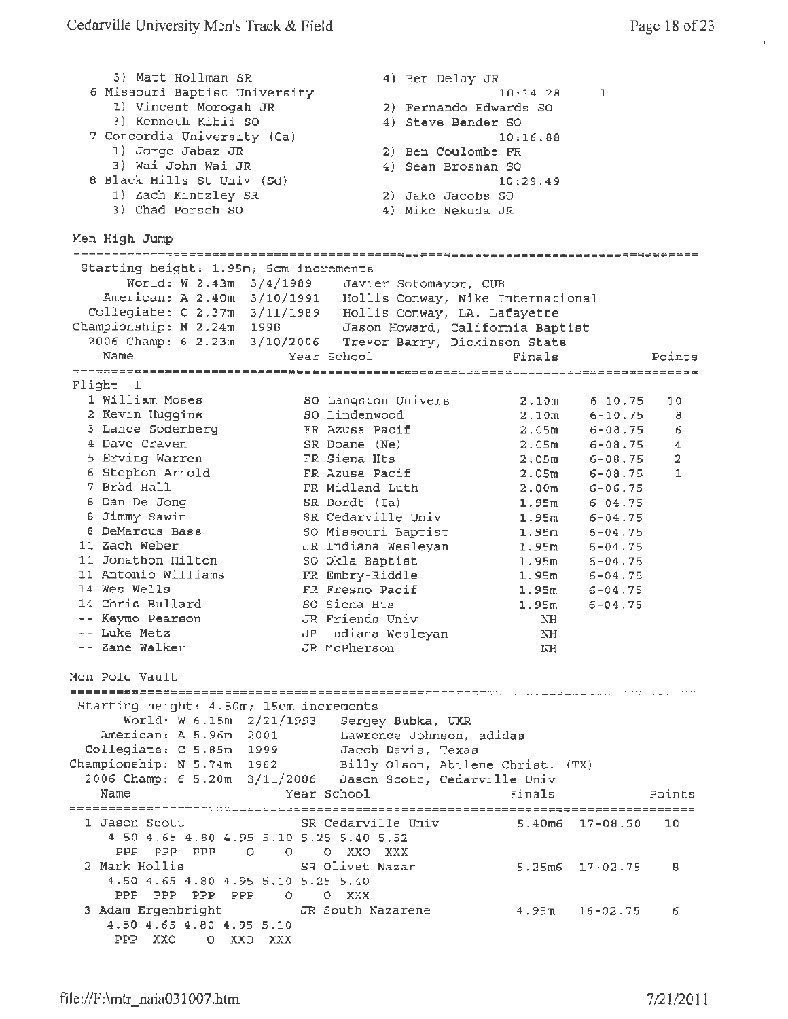3) Matt Hollman SR <sup>6</sup>Missouri Baptist University 1) Vincent Morogah JR 3) Kenneth Kibii SO 7 Concordia University (Ca) 1) Jorge Jabaz JR 3) Wai John Wai JR 8 Black Hills St Univ (Sd) 1) Zach Kintzley SR 3) Chad Porsch SO Men High Jump Starting height: 1.95m; 5cm increments 4) Ben Delay JR 2) Fernando Edwards SO 4) Steve Bender SO 2) 4) 2) 4) 10:14.28 10:16.88 Ben Coulombe FR Sean Brosnan SO 10;29.49 Jake Jacobs so Mike Nekuda JR World: w 2.43m 3/4/1989 Javier Sotomayor, CUB American: A 2.40m 3/10/1991 Hollis Conway, Nike International Collegiate: C 2.37m 3/11/1989 Hollis Conway, LA. Lafayette championship: N 2.24m 1998 Jason Howard, California Baptist 2006 Champ: 6 2.23m 3/10/2006 Trevor Barry, Dickinson State Name Year School Finals  $1$ Points --------=====-----==~~===========----=====:======~==;===~========~====-~=-=---~-- Flight 1 1 William Moses so Langston Univers 2.l0m 6-10.75 10 <sup>2</sup>Kevin Huggins so Lindenwood 2.10m 6-10.75 8 3 Lance Soderberg FR Azusa Pacif 2.05m 6-08.75 6 <sup>4</sup>Dave Craven SR Doane (Ne) 2.05m 6-08.75 4 5 Erving Warren FR Siena Hts 2.osm 6-08.75 2 6 Stephan Arnold **FR** Azusa Paci£ 2.05rn 6 - 08.75 1 <sup>7</sup>Brad Hall FR Midland Luth 2.00m 6 - 06.75 8 Dan De Jong SR Dordt (Ia) 1.95m 6-04.75 8 Jimmy Sawin SR Cedarville Univ 1.95m 6-04.75 <sup>8</sup>DeMarcus Bass so Missouri Baptist 1.95m 6-04.75 11 Zach Weber JR Indiana Wesleyan 1. 95m 6-04.75 11 Jonathon Hilton so Okla Baptist 1. 95m 6-04.75 11 Antonio Williams FR Embry-Riddle 1. 95m 6-04.75 14 Wes Wells **FR Fresno Pacif** 1.95m 6-04.75 14 Chris Bullard so *Siena* Hts 1.95m 6-04.75 Keymo Pearson JR Friends Univ NH Luke Metz JR Indiana Wesleyan NH Zane Walker JR McPherson NH Men Pole Vault Starting height: 4.50m; 15cm increments World: W 6.15m 2/21/1993 Sergey Bubka, UKR American: A 5.96m 2001 Lawrence Johnson, adidas Collegiate: C 5.85m 1999 Jacob Davis, Texas Championship: N 5.74m 1982 Billy Olson, Abilene Christ. (TX) 2006 Champ: 6 5.20m 3/11/2006 Jason Scott, Cedarville Univ Name **The Year School** Points Points Points 1 Jason Scott SR Cedarville Univ 5.40m6 17-08.50 10 4.50 4.65 4.80 4.95 5.10 5.25 5.40 5.52 PPP PPP PPP 0 0 0 xxo XXX 2 Mark Hollis SR Olivet Nazar 5.25m6 17-02.75 <sup>8</sup> 4.50 4.65 4.80 4.95 5.10 5.25 5.40 PPP PPP PPP PPP 0 0 XXX 3 Adam Ergenbright JR South Nazarene 4.95m 16-02.75 6 4.50 4.65 4.80 4.95 5.10 PPP XXO 0 xxo XXX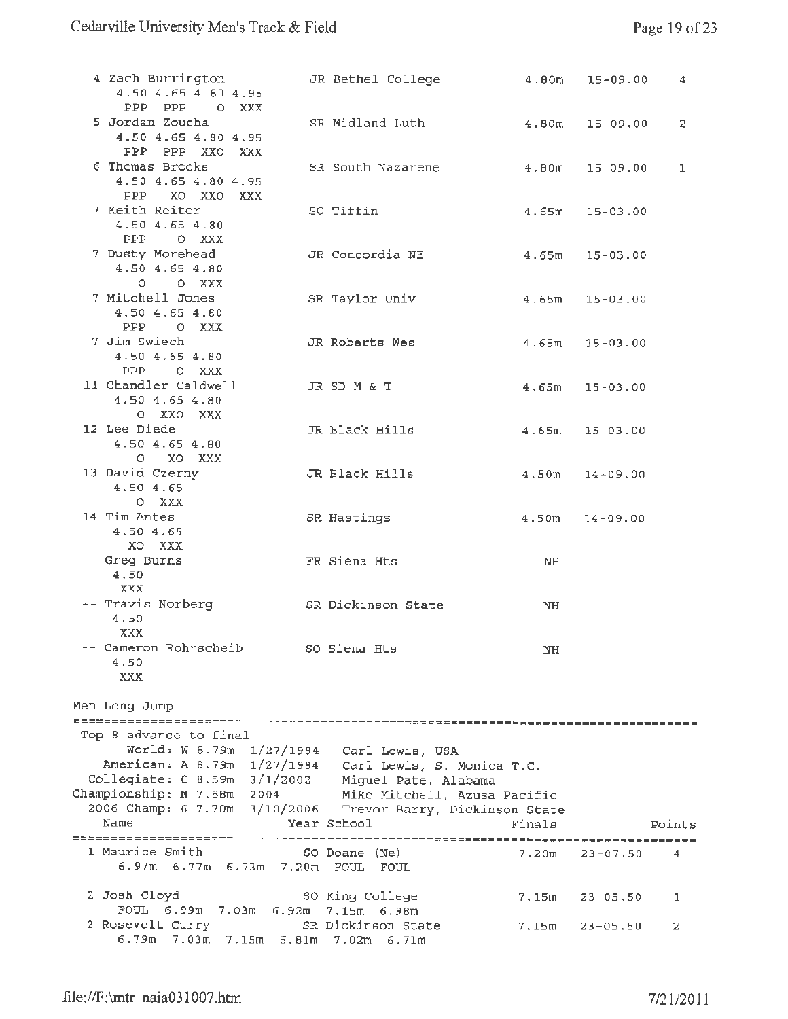| 4 Zach Burrington<br>4.50 4.65 4.80 4.95<br>PPP PPP OXXX                                                                                                                                                        | JR Bethel College            | 4.00m            | $15 - 09.00$       | 4      |
|-----------------------------------------------------------------------------------------------------------------------------------------------------------------------------------------------------------------|------------------------------|------------------|--------------------|--------|
| 5 Jordan Zoucha<br>4.50 4.65 4.80 4.95                                                                                                                                                                          | SR Midland Luth              | $4.80m$ 15-09.00 |                    | 2      |
| PPP PPP XXO XXX<br>6 Thomas Brooks<br>4.50 4.65 4.80 4.95                                                                                                                                                       | SR South Nazarene            | $4.80m$ 15-09.00 |                    | 1      |
| PPP XO XXO XXX<br>7 Keith Reiter<br>4.50 4.65 4.80<br>PPP OXXX                                                                                                                                                  | SO Tiffin                    | 4.65m            | $15 - 03.00$       |        |
| 7 Dusty Morehead<br>4.50 4.65 4.80<br>O O XXX                                                                                                                                                                   | JR Concordia NE              | 4.65m            | $15 - 03.00$       |        |
| 7 Mitchell Jones<br>4.50 4.65 4.80<br>PPP OXXX                                                                                                                                                                  | SR Taylor Univ               | 4.65m            | $15 - 03.00$       |        |
| 7 Jim Swiech<br>4.50 4.65 4.80<br>PPP OXXX                                                                                                                                                                      | JR Roberts Wes               |                  | $4.65m$ 15-03.00   |        |
| 11 Chandler Caldwell<br>4.50 4.65 4.80<br>O XXO XXX                                                                                                                                                             | JR SD M & T                  |                  | $4.65m$ 15-03.00   |        |
| 12 Lee Diede<br>4.504.654.80<br>O XO XXX                                                                                                                                                                        | JR Black Hills               |                  | $4.65m$ 15-03.00   |        |
| 13 David Czerny<br>4.50 4.65<br>O XXX                                                                                                                                                                           | JR Black Hills               | 4.50m            | $14 - 09.00$       |        |
| 14 Tim Antes<br>4.50 4.65<br>XO XXX                                                                                                                                                                             | SR Hastings                  | 4.50m            | $14 - 09.00$       |        |
| -- Greg Burns<br>4.50<br>XXX                                                                                                                                                                                    | FR Siena Hts                 | NH               |                    |        |
| -- Travis Norberg<br>4.50<br>XXX                                                                                                                                                                                | SR Dickinson State           | NH               |                    |        |
| Cameron Rohrscheib<br>4.50<br>XXX                                                                                                                                                                               | SO Siena Hts                 | NH               |                    |        |
| Men Long Jump                                                                                                                                                                                                   |                              |                  |                    |        |
| Top 8 advance to final<br>World: W 8.79m 1/27/1984 Carl Lewis, USA<br>American: A 8.79m 1/27/1984 Carl Lewis, S. Monica T.C.<br>Collegiate: C 8.59m 3/1/2002 Miguel Pate, Alabama<br>Championship: N 7.88m 2004 | Mike Mitchell, Azusa Pacific |                  |                    |        |
| 2006 Champ: 6 7.70m 3/10/2006 Trevor Barry, Dickinson State<br>Name                                                                                                                                             | Year School                  |                  |                    |        |
|                                                                                                                                                                                                                 |                              | Finals           |                    | Points |
| 1 Maurice Smith<br>6.97m 6.77m 6.73m 7.20m FOUL                                                                                                                                                                 | SO Doane (Ne)<br>FOUL        | 7.20m            | $23 - 07.50$       | 4      |
| 2 Josh Cloyd<br>FOUL 6.99m 7.03m 6.92m 7.15m 6.98m                                                                                                                                                              | SO King College              |                  | $7.15m$ $23-05.50$ | 1      |
| 2 Rosevelt Curry<br>6.79m 7.03m 7.15m 6.81m 7.02m 6.71m                                                                                                                                                         | SR Dickinson State           | 7.15m            | $23 - 05.50$       | 2      |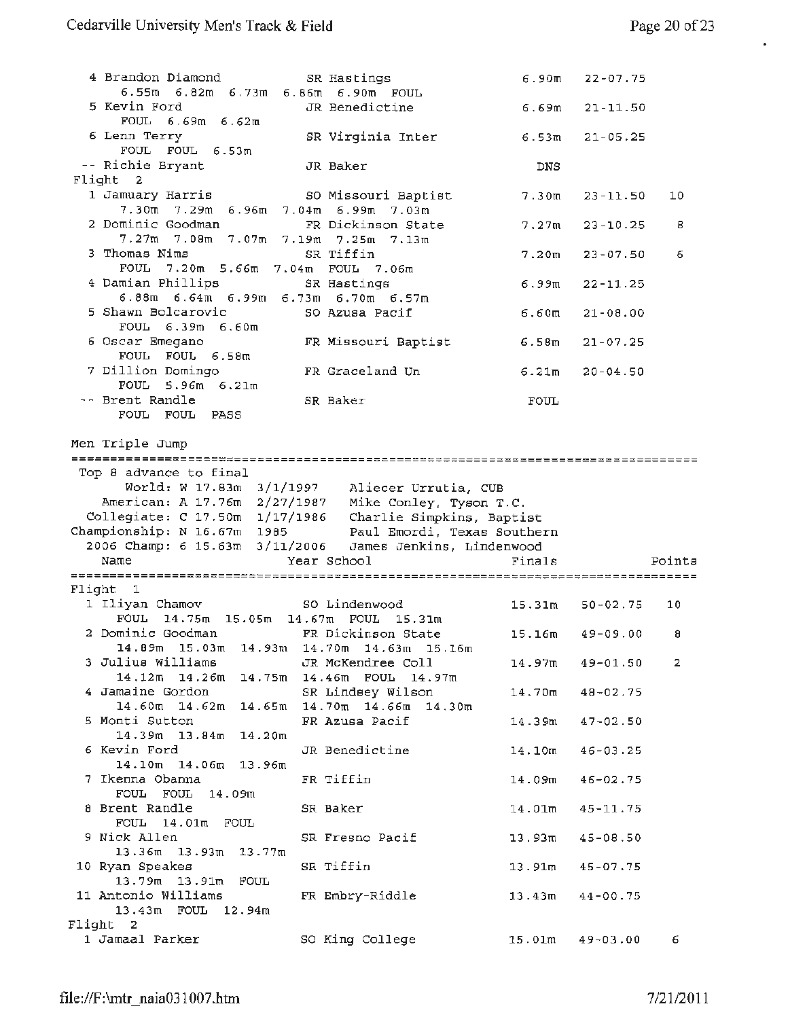$\epsilon$ 

| 4 Brandon Diamond                                                                                     | SR Hastings                               |                    | $6.90m$ $22-07.75$  |        |
|-------------------------------------------------------------------------------------------------------|-------------------------------------------|--------------------|---------------------|--------|
| 6.55m 6.82m 6.73m 6.86m 6.90m FOUL<br>5 Kevin Ford                                                    | JR Benedictine                            | 6.69m              | $21 - 11.50$        |        |
| $FOUL = 6.69m = 6.62m$                                                                                |                                           |                    |                     |        |
| 6 Lenn Terry<br>FOUL FOUL 6.53m                                                                       | SR Virginia Inter                         | 6.53m              | $21 - 05.25$        |        |
| -- Richie Bryant                                                                                      | JR Baker                                  | DNS.               |                     |        |
| Flight<br>$\mathbf{2}$                                                                                |                                           |                    |                     |        |
| 1 Jamuary Harris<br>7.30m 7.29m 6.96m 7.04m 6.99m 7.03m                                               | SO Missouri Baptist                       | 7.30m              | 23-11.50            | 10     |
| 2 Dominic Goodman                                                                                     | FR Dickinson State                        | 7.27m              | $23 - 10.25$        | 8      |
| 7.27m 7.08m 7.07m 7.19m 7.25m 7.13m                                                                   |                                           |                    |                     |        |
| 3 Thomas Nims                                                                                         | SR Tiffin                                 | 7.20 <sub>m</sub>  | $23 - 07.50$        | 6      |
| FOUL 7.20m 5.66m 7.04m FOUL 7.06m                                                                     |                                           |                    |                     |        |
| 4 Damian Phillips                                                                                     | SR Hastings                               | 6.99m              | $22 - 11.25$        |        |
| 6.88m 6.64m 6.99m 6.73m 6.70m 6.57m                                                                   |                                           |                    |                     |        |
| 5 Shawn Bolcarovic<br>FOUL 6.39m 6.60m                                                                | SO Azusa Pacif                            | 6.60m              | $21 - 08.00$        |        |
| 6 Oscar Emegano<br>FOUL FOUL 6.58m                                                                    | FR Missouri Baptist                       | 6.58m              | $21 - 07.25$        |        |
| 7 Dillion Domingo<br>FOUL 5.96m 6.21m                                                                 | FR Graceland Un                           | 6.21m              | $20 - 04.50$        |        |
| -- Brent Randle                                                                                       | SR Baker                                  | FOUL               |                     |        |
| FOUL FOUL PASS                                                                                        |                                           |                    |                     |        |
|                                                                                                       |                                           |                    |                     |        |
| Men Triple Jump                                                                                       |                                           |                    |                     |        |
|                                                                                                       |                                           |                    |                     |        |
|                                                                                                       |                                           |                    |                     |        |
| Top 8 advance to final                                                                                |                                           |                    |                     |        |
|                                                                                                       |                                           |                    |                     |        |
| World: W 17.83m 3/1/1997 Aliecer Urrutia, CUB<br>American: A 17.76m 2/27/1987 Mike Conley, Tyson T.C. |                                           |                    |                     |        |
| Collegiate: C 17.50m 1/17/1986 Charlie Simpkins, Baptist                                              |                                           |                    |                     |        |
| Championship: N 16.67m 1985 Paul Emordi, Texas Southern                                               |                                           |                    |                     |        |
| 2006 Champ: 6 15.63m 3/11/2006 James Jenkins, Lindenwood<br>Name                                      |                                           | Finals             |                     | Points |
|                                                                                                       | Year School                               |                    |                     |        |
| Flight 1                                                                                              |                                           |                    |                     |        |
| 1 Iliyan Chamov                                                                                       | SO Lindenwood                             | 15.31m             | $50 - 02.75$        | 10     |
| FOUL 14.75m 15.05m 14.67m FOUL                                                                        | 15.31m                                    |                    |                     |        |
| 2 Dominic Goodman                                                                                     | FR Dickinson State                        | 15.16m             | $49 - 09.00$        | 8      |
| $14.89m$ 15.03m                                                                                       | 14.93m 14.70m 14.63m 15.16m               |                    |                     |        |
| 3 Julius Williams                                                                                     | JR McKendree Coll                         | 14.97m             | 49-01.50            | 2      |
| $14.12m$ $14.26m$                                                                                     | 14.75m 14.46m FOUL 14.97m                 |                    |                     |        |
| 4 Jamaine Gordon<br>14.60m 14.62m<br>14.65m                                                           | SR Lindsey Wilson<br>14.70m 14.66m 14.30m | 14.70m             | $48 - 02.75$        |        |
| 5 Monti Sutton                                                                                        | FR Azusa Pacif                            | 14.39m             | $47 - 02.50$        |        |
| $14.39m$ 13.84 $m$ 14.20 $m$                                                                          |                                           |                    |                     |        |
| 6 Kevin Ford                                                                                          | JR Benedictine                            | 14.10 <sub>m</sub> | $46 - 03.25$        |        |
| 14.10m 14.06m 13.96m                                                                                  |                                           |                    |                     |        |
| 7 Ikenna Obanna                                                                                       | FR Tiffin                                 | 14.09m             | $46 - 02.75$        |        |
| FOUL FOUL 14.09m                                                                                      |                                           |                    |                     |        |
| 8 Brent Randle                                                                                        | SR Baker                                  | $14.01$ m          | $45 - 11.75$        |        |
| FOUL 14.01m FOUL                                                                                      |                                           |                    |                     |        |
| 9 Nick Allen                                                                                          | SR Fresno Pacif                           | 13.93m             | 45-08.50            |        |
| 13.36m 13.93m 13.77m<br>10 Ryan Speakes                                                               | SR Tiffin                                 | 13.91m             | 45-07.75            |        |
| 13.79m 13.91m FOUL                                                                                    |                                           |                    |                     |        |
| 11 Antonio Williams                                                                                   | FR Embry-Riddle                           |                    | $13.43m$ $44-00.75$ |        |
| 13.43m FOUL 12.94m                                                                                    |                                           |                    |                     |        |
| Flight 2<br>1 Jamaal Parker                                                                           | SO King College                           | 15.01m             | $49 - 03.00$        | 6.     |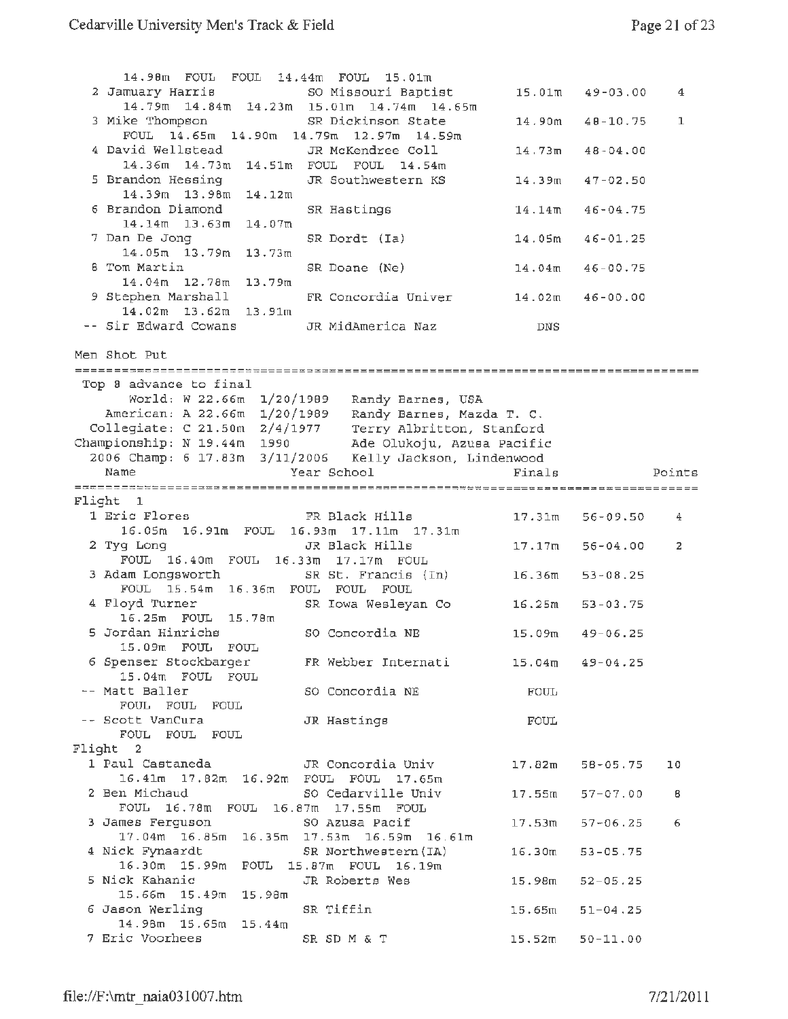| 14.98m FOUL FOUL 14.44m FOUL 15.01m<br>2 Jamuary Harris    | SO Missouri Baptist                                                                                                |                    | $15.01m$ $49-03.00$ | 4      |
|------------------------------------------------------------|--------------------------------------------------------------------------------------------------------------------|--------------------|---------------------|--------|
| 3 Mike Thompson                                            | 14.79m  14.84m  14.23m  15.01m  14.74m  14.65m<br>SR Dickinson State                                               |                    |                     |        |
| FOUL 14.65m 14.90m 14.79m 12.97m 14.59m                    |                                                                                                                    |                    | $14.90m$ $40-10.75$ | 1      |
| 4 David Wellstead<br>14.36m 14.73m 14.51m FOUL FOUL 14.54m | JR McKendree Coll                                                                                                  |                    | $14.73m$ $48-04.00$ |        |
| 5 Brandon Hessing<br>14.39m 13.98m 14.12m                  | JR Southwestern KS                                                                                                 | 14.39m             | $47 - 02.50$        |        |
| 6 Brandon Diamond<br>14.14m 13.63m 14.07m                  | SR Hastings                                                                                                        | $14.14$ m          | $46 - 04.75$        |        |
| 7 Dan De Jong<br>14.05m 13.79m 13.73m                      | SR Dordt (Ia)                                                                                                      | 14.05m             | $46 - 01.25$        |        |
| <b>8 Tom Martin</b><br>14.04m 12.78m 13.79m                | SR Doane (Ne)                                                                                                      | 14.04m             | $46 - 00.75$        |        |
| 9 Stephen Marshall                                         | FR Concordia Univer                                                                                                |                    | 14.02m 46-00.00     |        |
| 14.02m 13.62m 13.91m<br>-- Sir Edward Cowans               | JR MidAmerica Naz                                                                                                  | DNS                |                     |        |
| Men Shot Put                                               |                                                                                                                    |                    |                     |        |
|                                                            |                                                                                                                    |                    |                     |        |
| Top 8 advance to final                                     |                                                                                                                    |                    |                     |        |
|                                                            | World: W 22.66m 1/20/1989 Randy Barnes, USA                                                                        |                    |                     |        |
|                                                            | American: A 22.66m 1/20/1989 Randy Barnes, Mazda T. C.                                                             |                    |                     |        |
|                                                            |                                                                                                                    |                    |                     |        |
|                                                            | Collegiate: C 21.50m 2/4/1977 Terry Albritton, Stanford                                                            |                    |                     |        |
|                                                            | Championship: N 19.44m 1990 Ade Olukoju, Azusa Pacific<br>2006 Champ: 6 17.83m 3/11/2006 Kelly Jackson, Lindenwood |                    |                     |        |
|                                                            |                                                                                                                    |                    |                     |        |
| Name                                                       | Year School                                                                                                        | Finals             |                     | Points |
|                                                            |                                                                                                                    |                    |                     |        |
| Flight 1                                                   |                                                                                                                    |                    |                     |        |
| 1 Eric Flores<br>16.05m 16.91m FOUL 16.93m 17.11m 17.31m   | FR Black Hills                                                                                                     |                    | $17.31m$ $56-09.50$ | 4      |
| 2 Tyg Long<br>FOUL 16.40m FOUL 16.33m 17.17m FOUL          | JR Black Hills                                                                                                     | $17.17$ m          | $56 - 04.00$        | 2      |
| 3 Adam Longsworth                                          | SR St. Francis (In)                                                                                                | 16.36m             | $53 - 08.25$        |        |
| FOUL 15.54m 16.36m FOUL FOUL FOUL<br>4 Floyd Turner        | SR Iowa Wesleyan Co                                                                                                | 16.25m             | $53 - 03.75$        |        |
| 16.25m FOUL 15.78m<br>5 Jordan Hinrichs                    | SO Concordia NE                                                                                                    | 15.09m             | $49 - 06.25$        |        |
| 15.09m FOUL FOUL                                           |                                                                                                                    |                    |                     |        |
| 15.04m FOUL FOUL                                           | 6 Spenser Stockbarger - FR Webber Internati                                                                        |                    | $15.04m$ $49-04.25$ |        |
| -- Matt Baller<br>FOUL FOUL FOUL                           | SO Concordia NE                                                                                                    | FOUL               |                     |        |
| -- Scott VanCura<br>FOUL FOUL FOUL                         | JR Hastings                                                                                                        | FOUL               |                     |        |
| Flight 2                                                   |                                                                                                                    |                    |                     |        |
|                                                            | 1 Paul Castaneda             JR Concordia Univ                                                                     |                    |                     |        |
| 16.41m 17.82m 16.92m FOUL FOUL 17.65m                      |                                                                                                                    |                    | $17.82m$ 58-05.75   | 10     |
| 2 Ben Michaud<br>FOUL 16.78m FOUL 16.87m 17.55m FOUL       | SO Cedarville Univ                                                                                                 |                    | $17.55m$ $57-07.00$ | в      |
| 3 James Ferguson                                           | SO Azusa Pacif<br>17.04m 16.85m 16.35m 17.53m 16.59m 16.61m                                                        | 17.53m             | $57 - 06.25$        | 6      |
| 4 Nick Fynaardt                                            | SR Northwestern (IA)                                                                                               | 16.30m             | $53 - 05.75$        |        |
| 16.30m 15.99m FOUL 15.87m FOUL 16.19m<br>5 Nick Kahanic    | JR Roberts Wes                                                                                                     | 15.98 <sub>m</sub> | $52 - 05.25$        |        |
| 15.66m 15.49m 15.98m<br>6 Jason Werling                    | SR Tiffin                                                                                                          | 15.65m             | $51 - 04.25$        |        |
| 14.98m 15.65m 15.44m                                       |                                                                                                                    |                    |                     |        |
| 7 Eric Voorhees                                            | SR SD M & T                                                                                                        |                    | $15.52m$ $50-11.00$ |        |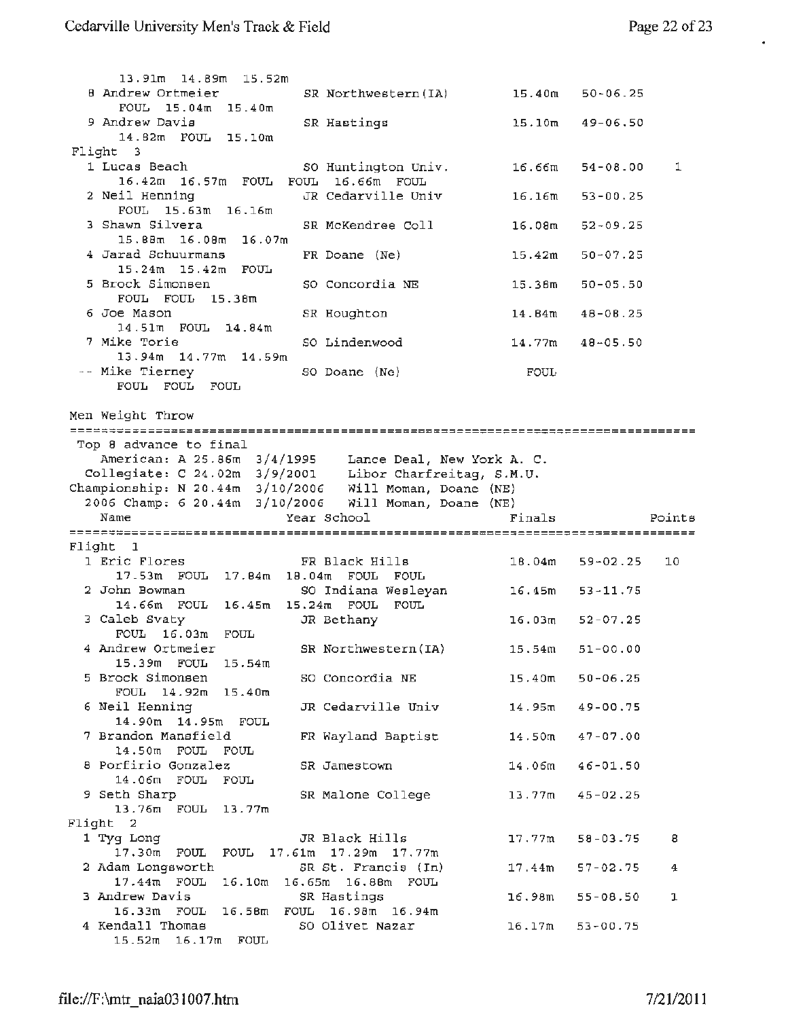$\bullet$ 

| 13.91m 14.89m 15.52m                                      |                             |                    |                     |        |
|-----------------------------------------------------------|-----------------------------|--------------------|---------------------|--------|
| 8 Andrew Ortmeier<br>FOUL 15.04m 15.40m                   | SR Northwestern (IA)        | 15.40m             | $50 - 06.25$        |        |
| 9 Andrew Davis                                            | SR Hastings                 | 15.10m             | 49-06.50            |        |
| 14.82m FOUL 15.10m                                        |                             |                    |                     |        |
| Flight 3                                                  |                             |                    |                     |        |
| 1 Lucas Beach                                             | SO Huntington Univ.         | 16.66m             | 54-08.00            | 1      |
| 16.42m 16.57m FOUL FOUL 16.66m FOUL                       |                             |                    |                     |        |
| 2 Neil Henning<br>FOUL 15.63m 16.16m                      | JR Cedarville Univ          | 16.16m             | $53 - 00.25$        |        |
| 3 Shawn Silvera<br>15.88m 16.08m 16.07m                   | SR McKendree Coll           | 16.08 <sub>m</sub> | $52 - 09.25$        |        |
| 4 Jarad Schuurmans                                        | FR Doane (Ne)               | 15.42m             | $50 - 07.25$        |        |
| 15.24m 15.42m FOUL                                        |                             |                    |                     |        |
| 5 Brock Simonsen<br>FOUL FOUL 15.38m                      | SO Concordia NE             | 15.38m             | $50 - 05.50$        |        |
| 6 Joe Mason<br>14.51m FOUL 14.84m                         | SR Houghton                 | 14.B4m             | $48 - 08.25$        |        |
| 7 Mike Torie                                              | SO Lindenwood               | 14.77m             | $48 - 05.50$        |        |
| 13.94m 14.77m 14.59m<br>-- Mike Tierney                   |                             |                    |                     |        |
| FOUL FOUL FOUL                                            | SO Doane (Ne)               | FOUL               |                     |        |
|                                                           |                             |                    |                     |        |
| Men Weight Throw                                          |                             |                    |                     |        |
|                                                           |                             |                    |                     |        |
| Top 8 advance to final                                    |                             |                    |                     |        |
| American: A 25.86m 3/4/1995 Lance Deal, New York A. C.    |                             |                    |                     |        |
|                                                           |                             |                    |                     |        |
| Collegiate: C 24.02m 3/9/2001 Libor Charfreitag, S.M.U.   |                             |                    |                     |        |
| Championship: N 20.44m 3/10/2006 Will Moman, Doane (NE)   |                             |                    |                     |        |
| 2006 Champ: 6 20.44m 3/10/2006 Will Moman, Doane (NE)     |                             |                    |                     |        |
| Name                                                      | Year School                 | Finals             |                     | Points |
|                                                           |                             |                    |                     |        |
| Flight 1<br>1 Eric Flores                                 | FR Black Hills              | 18.04m             | $59 - 02.25$        | 10     |
| 17.53m FOUL 17.84m 18.04m FOUL FOUL                       |                             |                    |                     |        |
| 2 John Bowman                                             |                             | 16.45m             | $53 - 11.75$        |        |
| 14.66m FOUL 16.45m 15.24m FOUL                            | SO Indiana Wesleyan<br>FOUL |                    |                     |        |
| 3 Caleb Svaty                                             | JR Bethany                  | 16.03m             | 52-07.25            |        |
| FOUL 16.03m FOUL                                          |                             |                    |                     |        |
| 4 Andrew Ortmeier                                         | SR Northwestern (IA)        |                    | $15.54m$ $51-00.00$ |        |
| 15.39m FOUL 15.54m<br>5 Brock Simonsen                    |                             | 15.40 <sub>m</sub> | $50 - 06.25$        |        |
| FOUL 14.92m 15.40m                                        | SO Concordia NE             |                    |                     |        |
| 6 Neil Henning                                            | JR Cedarville Univ          | 14.95m             | 49-00.75            |        |
| 14.90m  14.95m  FOUL<br>7 Brandon Mansfield               | FR Wayland Baptist          | 14.50 <sub>m</sub> | $47 - 07.00$        |        |
| 14.50m FOUL FOUL                                          |                             |                    |                     |        |
| 8 Porfirio Gonzalez                                       | SR Jamestown                | 14.06m             | $46 - 01.50$        |        |
| 14.06m FOUL FOUL                                          |                             |                    |                     |        |
| 9 Seth Sharp                                              | SR Malone College           | 13.77m             | $45 - 02.25$        |        |
| 13.76m FOUL 13.77m<br>Flight 2                            |                             |                    |                     |        |
| 1 Tyg Long                                                | JR Black Hills              | 17.77m             | $58 - 03 - 75$      | 8      |
| 17.30m FOUL FOUL 17.61m 17.29m 17.77m                     |                             |                    |                     |        |
| 2 Adam Longsworth                                         | SR St. Francis (In)         | 17.44m             | $57 - 02.75$        | 4      |
| 17.44m FOUL 16.10m 16.65m 16.88m FOUL                     |                             |                    |                     |        |
| 3 Andrew Davis                                            | SR Hastings                 | 16.98m             | $55 - 08.50$        | ı      |
| 16.33m FOUL 16.58m FOUL 16.98m 16.94m<br>4 Kendall Thomas | SO Olivet Nazar             | 16.17m             | $53 - 00.75$        |        |